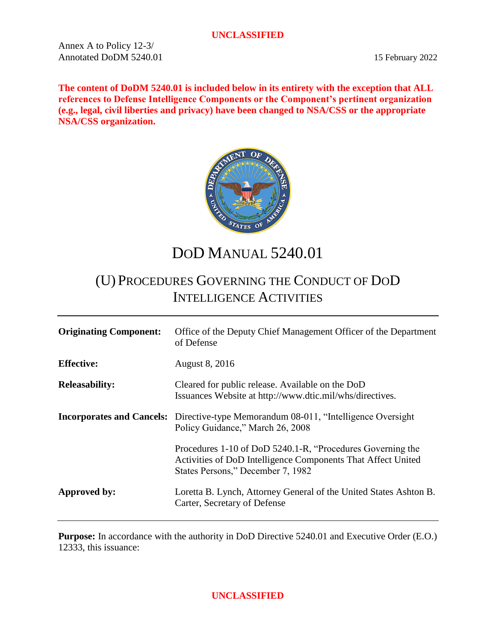Annex A to Policy 12-3/ Annotated DoDM 5240.01 15 February 2022

**The content of DoDM 5240.01 is included below in its entirety with the exception that ALL references to Defense Intelligence Components or the Component's pertinent organization (e.g., legal, civil liberties and privacy) have been changed to NSA/CSS or the appropriate NSA/CSS organization.** 



DOD MANUAL 5240.01

# (U) PROCEDURES GOVERNING THE CONDUCT OF DOD INTELLIGENCE ACTIVITIES

| <b>Originating Component:</b> | Office of the Deputy Chief Management Officer of the Department<br>of Defense                                                                                   |
|-------------------------------|-----------------------------------------------------------------------------------------------------------------------------------------------------------------|
| <b>Effective:</b>             | <b>August 8, 2016</b>                                                                                                                                           |
| <b>Releasability:</b>         | Cleared for public release. Available on the DoD<br>Issuances Website at http://www.dtic.mil/whs/directives.                                                    |
|                               | <b>Incorporates and Cancels:</b> Directive-type Memorandum 08-011, "Intelligence Oversight<br>Policy Guidance," March 26, 2008                                  |
|                               | Procedures 1-10 of DoD 5240.1-R, "Procedures Governing the<br>Activities of DoD Intelligence Components That Affect United<br>States Persons," December 7, 1982 |
| Approved by:                  | Loretta B. Lynch, Attorney General of the United States Ashton B.<br>Carter, Secretary of Defense                                                               |

**Purpose:** In accordance with the authority in DoD Directive 5240.01 and Executive Order (E.O.) 12333, this issuance: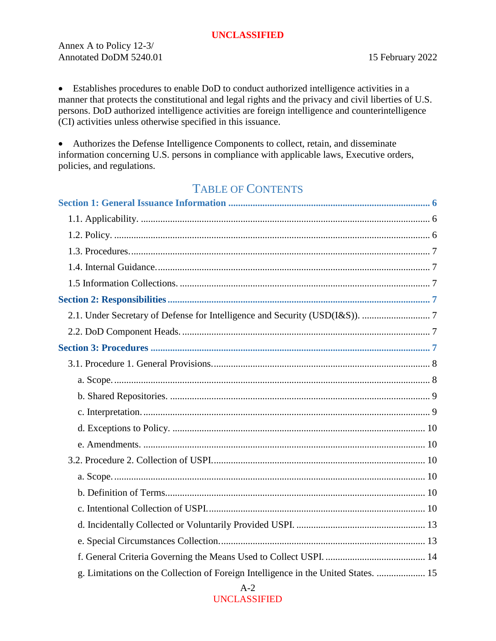Annex A to Policy 12-3/ Annotated DoDM 5240.01 15 February 2022

 Establishes procedures to enable DoD to conduct authorized intelligence activities in a manner that protects the constitutional and legal rights and the privacy and civil liberties of U.S. persons. DoD authorized intelligence activities are foreign intelligence and counterintelligence (CI) activities unless otherwise specified in this issuance.

 Authorizes the Defense Intelligence Components to collect, retain, and disseminate information concerning U.S. persons in compliance with applicable laws, Executive orders, policies, and regulations.

# TABLE OF CONTENTS

| g. Limitations on the Collection of Foreign Intelligence in the United States.  15<br>$A-2$ |
|---------------------------------------------------------------------------------------------|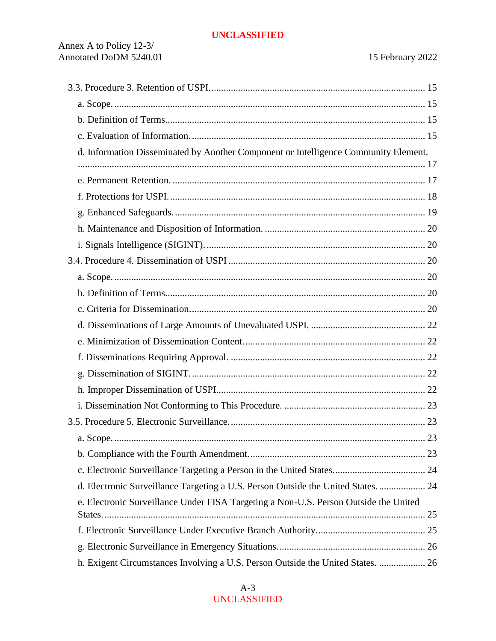| d. Information Disseminated by Another Component or Intelligence Community Element.  |  |
|--------------------------------------------------------------------------------------|--|
|                                                                                      |  |
|                                                                                      |  |
|                                                                                      |  |
|                                                                                      |  |
|                                                                                      |  |
|                                                                                      |  |
|                                                                                      |  |
|                                                                                      |  |
|                                                                                      |  |
|                                                                                      |  |
|                                                                                      |  |
|                                                                                      |  |
|                                                                                      |  |
|                                                                                      |  |
|                                                                                      |  |
|                                                                                      |  |
|                                                                                      |  |
|                                                                                      |  |
|                                                                                      |  |
|                                                                                      |  |
| d. Electronic Surveillance Targeting a U.S. Person Outside the United States 24      |  |
| e. Electronic Surveillance Under FISA Targeting a Non-U.S. Person Outside the United |  |
|                                                                                      |  |
|                                                                                      |  |
| h. Exigent Circumstances Involving a U.S. Person Outside the United States.  26      |  |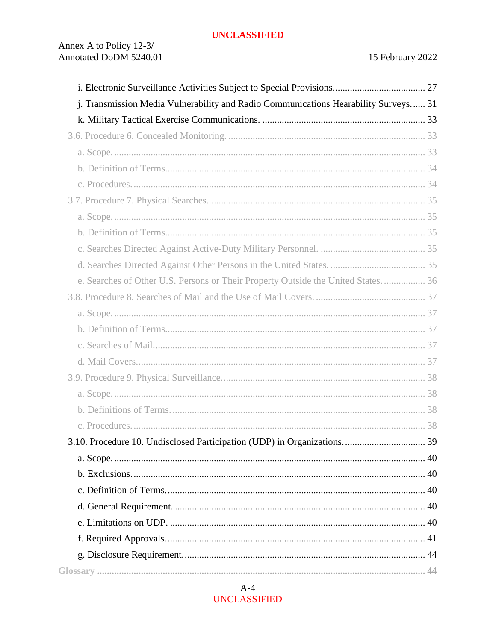| j. Transmission Media Vulnerability and Radio Communications Hearability Surveys 31 |  |
|-------------------------------------------------------------------------------------|--|
|                                                                                     |  |
|                                                                                     |  |
|                                                                                     |  |
|                                                                                     |  |
|                                                                                     |  |
|                                                                                     |  |
|                                                                                     |  |
|                                                                                     |  |
|                                                                                     |  |
|                                                                                     |  |
| e. Searches of Other U.S. Persons or Their Property Outside the United States 36    |  |
|                                                                                     |  |
|                                                                                     |  |
|                                                                                     |  |
|                                                                                     |  |
|                                                                                     |  |
|                                                                                     |  |
|                                                                                     |  |
|                                                                                     |  |
|                                                                                     |  |
|                                                                                     |  |
|                                                                                     |  |
|                                                                                     |  |
|                                                                                     |  |
|                                                                                     |  |
|                                                                                     |  |
|                                                                                     |  |
|                                                                                     |  |
|                                                                                     |  |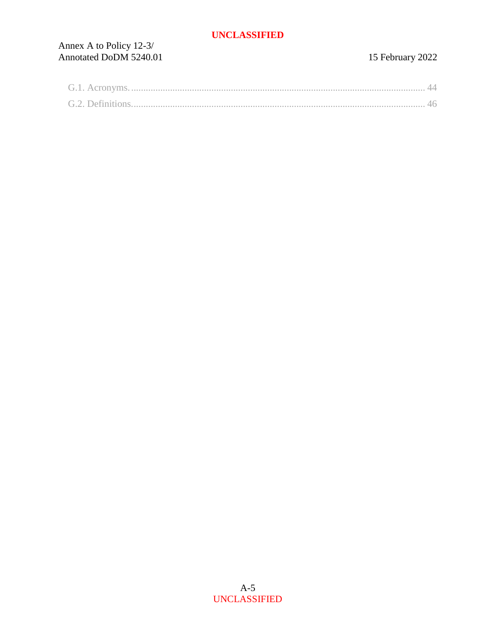# Annex A to Policy 12-3/<br>Annotated DoDM 5240.01

# 15 February 2022

| G.L. Acronym     |  |
|------------------|--|
| G.2. Definitions |  |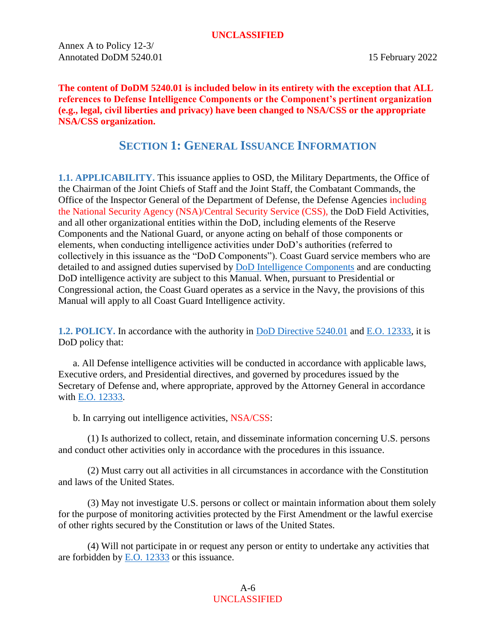Annex A to Policy 12-3/ Annotated DoDM 5240.01 15 February 2022

**The content of DoDM 5240.01 is included below in its entirety with the exception that ALL references to Defense Intelligence Components or the Component's pertinent organization (e.g., legal, civil liberties and privacy) have been changed to NSA/CSS or the appropriate NSA/CSS organization.** 

# **SECTION 1: GENERAL ISSUANCE INFORMATION**

<span id="page-5-1"></span><span id="page-5-0"></span>**1.1. APPLICABILITY.** This issuance applies to OSD, the Military Departments, the Office of the Chairman of the Joint Chiefs of Staff and the Joint Staff, the Combatant Commands, the Office of the Inspector General of the Department of Defense, the Defense Agencies including the National Security Agency (NSA)/Central Security Service (CSS), the DoD Field Activities, and all other organizational entities within the DoD, including elements of the Reserve Components and the National Guard, or anyone acting on behalf of those components or elements, when conducting intelligence activities under DoD's authorities (referred to collectively in this issuance as the "DoD Components"). Coast Guard service members who are detailed to and assigned duties supervised by [DoD Intelligence Components](#page-47-0) and are conducting DoD intelligence activity are subject to this Manual. When, pursuant to Presidential or Congressional action, the Coast Guard operates as a service in the Navy, the provisions of this Manual will apply to all Coast Guard Intelligence activity.

<span id="page-5-2"></span>**1.2. POLICY.** In accordance with the authority in [DoD Directive 5240.01](https://policy.sp.web.nsa.ic.gov/PolicyDepot/DoDD%205240.01%2020140827.pdf) and [E.O. 12333,](https://siteworks.web.nsa.ic.gov/p12/files/exec_orders/amended12333.pdf) it is DoD policy that:

a. All Defense intelligence activities will be conducted in accordance with applicable laws, Executive orders, and Presidential directives, and governed by procedures issued by the Secretary of Defense and, where appropriate, approved by the Attorney General in accordance with [E.O. 12333.](https://siteworks.web.nsa.ic.gov/p12/files/exec_orders/amended12333.pdf)

b. In carrying out intelligence activities, NSA/CSS:

(1) Is authorized to collect, retain, and disseminate information concerning U.S. persons and conduct other activities only in accordance with the procedures in this issuance.

(2) Must carry out all activities in all circumstances in accordance with the Constitution and laws of the United States.

(3) May not investigate U.S. persons or collect or maintain information about them solely for the purpose of monitoring activities protected by the First Amendment or the lawful exercise of other rights secured by the Constitution or laws of the United States.

(4) Will not participate in or request any person or entity to undertake any activities that are forbidden by [E.O. 12333](https://siteworks.web.nsa.ic.gov/p12/files/exec_orders/amended12333.pdf) or this issuance.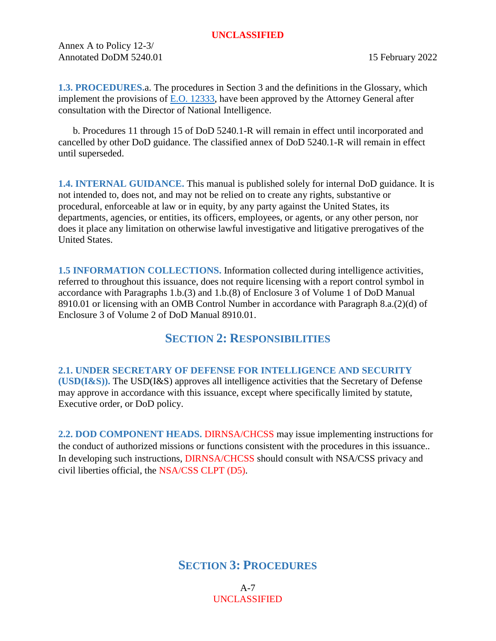Annex A to Policy 12-3/ Annotated DoDM 5240.01 15 February 2022

<span id="page-6-0"></span>**1.3. PROCEDURES.**a. The procedures in Section 3 and the definitions in the Glossary, which implement the provisions of [E.O. 12333,](https://siteworks.web.nsa.ic.gov/p12/files/exec_orders/amended12333.pdf) have been approved by the Attorney General after consultation with the Director of National Intelligence.

b. Procedures 11 through 15 of DoD 5240.1-R will remain in effect until incorporated and cancelled by other DoD guidance. The classified annex of DoD 5240.1-R will remain in effect until superseded.

<span id="page-6-1"></span>**1.4. INTERNAL GUIDANCE.** This manual is published solely for internal DoD guidance. It is not intended to, does not, and may not be relied on to create any rights, substantive or procedural, enforceable at law or in equity, by any party against the United States, its departments, agencies, or entities, its officers, employees, or agents, or any other person, nor does it place any limitation on otherwise lawful investigative and litigative prerogatives of the United States.

<span id="page-6-2"></span>**1.5 INFORMATION COLLECTIONS.** Information collected during intelligence activities, referred to throughout this issuance, does not require licensing with a report control symbol in accordance with Paragraphs 1.b.(3) and 1.b.(8) of Enclosure 3 of Volume 1 of DoD Manual 8910.01 or licensing with an OMB Control Number in accordance with Paragraph 8.a.(2)(d) of Enclosure 3 of Volume 2 of DoD Manual 8910.01.

# **SECTION 2: RESPONSIBILITIES**

<span id="page-6-4"></span><span id="page-6-3"></span>**2.1. UNDER SECRETARY OF DEFENSE FOR INTELLIGENCE AND SECURITY (USD(I&S)).** The USD(I&S) approves all intelligence activities that the Secretary of Defense may approve in accordance with this issuance, except where specifically limited by statute, Executive order, or DoD policy.

<span id="page-6-7"></span><span id="page-6-5"></span>**2.2. DOD COMPONENT HEADS.** DIRNSA/CHCSS may issue implementing instructions for the conduct of authorized missions or functions consistent with the procedures in this issuance.. In developing such instructions, DIRNSA/CHCSS should consult with NSA/CSS privacy and civil liberties official, the NSA/CSS CLPT (D5).

# <span id="page-6-6"></span>**SECTION 3: PROCEDURES**

A-7 UNCLASSIFIED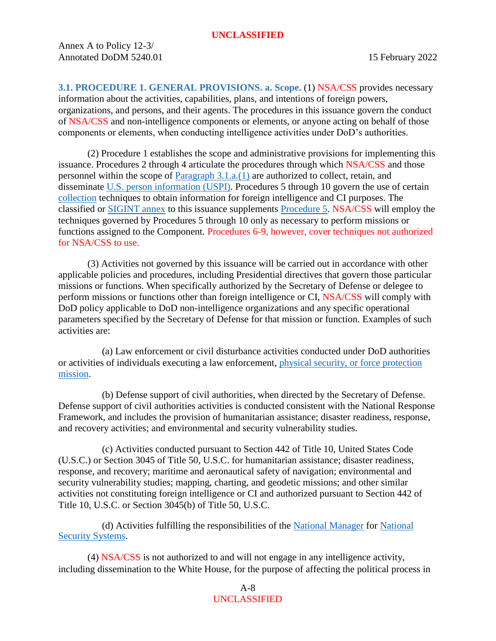<span id="page-7-2"></span><span id="page-7-1"></span><span id="page-7-0"></span>**3.1. PROCEDURE 1. GENERAL PROVISIONS. a. Scope.** (1) NSA/CSS provides necessary information about the activities, capabilities, plans, and intentions of foreign powers, organizations, and persons, and their agents. The procedures in this issuance govern the conduct of NSA/CSS and non-intelligence components or elements, or anyone acting on behalf of those components or elements, when conducting intelligence activities under DoD's authorities.

(2) Procedure 1 establishes the scope and administrative provisions for implementing this issuance. Procedures 2 through 4 articulate the procedures through which NSA/CSS and those personnel within the scope of [Paragraph 3.1.a.\(1\)](#page-7-2) are authorized to collect, retain, and disseminate [U.S. person information \(USPI\).](#page-55-0) Procedures 5 through 10 govern the use of certain [collection](#page-45-1) techniques to obtain information for foreign intelligence and CI purposes. The classified or [SIGINT annex](https://policy.sp.web.nsa.ic.gov/PolicyDepot/DoDM%20S-5240.01-A%2020210107.pdf) to this issuance supplements [Procedure 5.](#page-22-4) NSA/CSS will employ the techniques governed by Procedures 5 through 10 only as necessary to perform missions or functions assigned to the Component. Procedures 6-9, however, cover techniques not authorized for NSA/CSS to use.

(3) Activities not governed by this issuance will be carried out in accordance with other applicable policies and procedures, including Presidential directives that govern those particular missions or functions. When specifically authorized by the Secretary of Defense or delegee to perform missions or functions other than foreign intelligence or CI, NSA/CSS will comply with DoD policy applicable to DoD non-intelligence organizations and any specific operational parameters specified by the Secretary of Defense for that mission or function. Examples of such activities are:

(a) Law enforcement or civil disturbance activities conducted under DoD authorities or activities of individuals executing a law enforcement, [physical security, or force protection](https://siteworks.web.nsa.ic.gov/p12/policy-series-5-security-policies/)  [mission.](https://siteworks.web.nsa.ic.gov/p12/policy-series-5-security-policies/)

(b) Defense support of civil authorities, when directed by the Secretary of Defense. Defense support of civil authorities activities is conducted consistent with the National Response Framework, and includes the provision of humanitarian assistance; disaster readiness, response, and recovery activities; and environmental and security vulnerability studies.

(c) Activities conducted pursuant to Section 442 of Title 10, United States Code (U.S.C.) or Section 3045 of Title 50, U.S.C. for humanitarian assistance; disaster readiness, response, and recovery; maritime and aeronautical safety of navigation; environmental and security vulnerability studies; mapping, charting, and geodetic missions; and other similar activities not constituting foreign intelligence or CI and authorized pursuant to Section 442 of Title 10, U.S.C. or Section 3045(b) of Title 50, U.S.C.

(d) Activities fulfilling the responsibilities of the [National Manager](https://policy.sp.web.nsa.ic.gov/PolicyDepot/NSD%2042%2019900705.pdf) for [National](https://siteworks.web.nsa.ic.gov/p12/n/#NationalSecuritySystem11-4)  [Security Systems.](https://siteworks.web.nsa.ic.gov/p12/n/#NationalSecuritySystem11-4)

(4) NSA/CSS is not authorized to and will not engage in any intelligence activity, including dissemination to the White House, for the purpose of affecting the political process in

# A-8 UNCLASSIFIED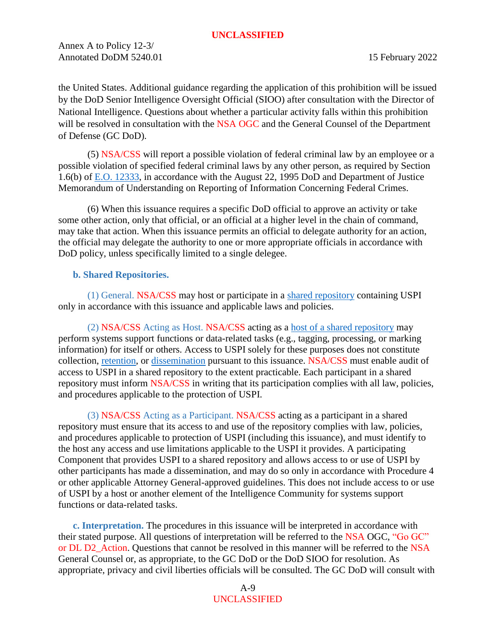Annex A to Policy 12-3/ Annotated DoDM 5240.01 15 February 2022

the United States. Additional guidance regarding the application of this prohibition will be issued by the DoD Senior Intelligence Oversight Official (SIOO) after consultation with the Director of National Intelligence. Questions about whether a particular activity falls within this prohibition will be resolved in consultation with the NSA OGC and the General Counsel of the Department of Defense (GC DoD).

(5) NSA/CSS will report a possible violation of federal criminal law by an employee or a possible violation of specified federal criminal laws by any other person, as required by Section 1.6(b) of [E.O. 12333,](https://siteworks.web.nsa.ic.gov/p12/files/exec_orders/amended12333.pdf) in accordance with the August 22, 1995 DoD and Department of Justice Memorandum of Understanding on Reporting of Information Concerning Federal Crimes.

(6) When this issuance requires a specific DoD official to approve an activity or take some other action, only that official, or an official at a higher level in the chain of command, may take that action. When this issuance permits an official to delegate authority for an action, the official may delegate the authority to one or more appropriate officials in accordance with DoD policy, unless specifically limited to a single delegee.

#### <span id="page-8-0"></span>**b. Shared Repositories.**

(1) General. NSA/CSS may host or participate in a [shared repository](#page-54-0) containing USPI only in accordance with this issuance and applicable laws and policies.

(2) NSA/CSS Acting as Host. NSA/CSS acting as a [host of a shared repository](#page-49-0) may perform systems support functions or data-related tasks (e.g., tagging, processing, or marking information) for itself or others. Access to USPI solely for these purposes does not constitute collection, [retention,](#page-54-1) or [dissemination](#page-48-0) pursuant to this issuance. NSA/CSS must enable audit of access to USPI in a shared repository to the extent practicable. Each participant in a shared repository must inform NSA/CSS in writing that its participation complies with all law, policies, and procedures applicable to the protection of USPI.

(3) NSA/CSS Acting as a Participant. NSA/CSS acting as a participant in a shared repository must ensure that its access to and use of the repository complies with law, policies, and procedures applicable to protection of USPI (including this issuance), and must identify to the host any access and use limitations applicable to the USPI it provides. A participating Component that provides USPI to a shared repository and allows access to or use of USPI by other participants has made a dissemination, and may do so only in accordance with Procedure 4 or other applicable Attorney General-approved guidelines. This does not include access to or use of USPI by a host or another element of the Intelligence Community for systems support functions or data-related tasks.

<span id="page-8-1"></span>**c. Interpretation.** The procedures in this issuance will be interpreted in accordance with their stated purpose. All questions of interpretation will be referred to the NSA OGC, "Go GC" or DL D2 Action. Questions that cannot be resolved in this manner will be referred to the NSA General Counsel or, as appropriate, to the GC DoD or the DoD SIOO for resolution. As appropriate, privacy and civil liberties officials will be consulted. The GC DoD will consult with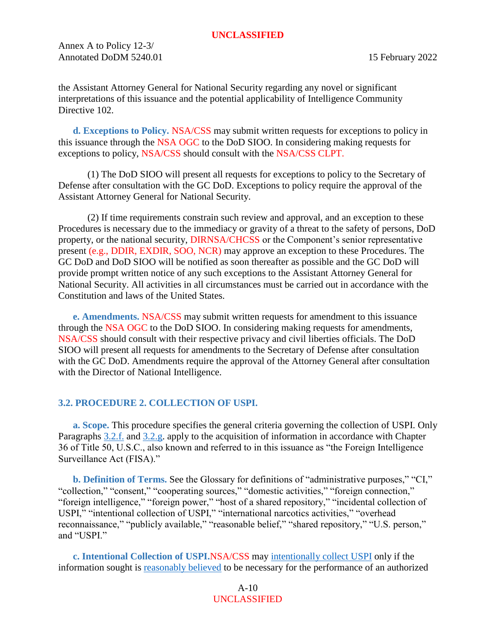Annex A to Policy 12-3/ Annotated DoDM 5240.01 15 February 2022

the Assistant Attorney General for National Security regarding any novel or significant interpretations of this issuance and the potential applicability of Intelligence Community Directive 102.

<span id="page-9-8"></span><span id="page-9-0"></span>**d. Exceptions to Policy.** NSA/CSS may submit written requests for exceptions to policy in this issuance through the NSA OGC to the DoD SIOO. In considering making requests for exceptions to policy, NSA/CSS should consult with the NSA/CSS CLPT.

(1) The DoD SIOO will present all requests for exceptions to policy to the Secretary of Defense after consultation with the GC DoD. Exceptions to policy require the approval of the Assistant Attorney General for National Security.

(2) If time requirements constrain such review and approval, and an exception to these Procedures is necessary due to the immediacy or gravity of a threat to the safety of persons, DoD property, or the national security, DIRNSA/CHCSS or the Component's senior representative present (e.g., DDIR, EXDIR, SOO, NCR) may approve an exception to these Procedures. The GC DoD and DoD SIOO will be notified as soon thereafter as possible and the GC DoD will provide prompt written notice of any such exceptions to the Assistant Attorney General for National Security. All activities in all circumstances must be carried out in accordance with the Constitution and laws of the United States.

<span id="page-9-1"></span>**e. Amendments.** NSA/CSS may submit written requests for amendment to this issuance through the NSA OGC to the DoD SIOO. In considering making requests for amendments, NSA/CSS should consult with their respective privacy and civil liberties officials. The DoD SIOO will present all requests for amendments to the Secretary of Defense after consultation with the GC DoD. Amendments require the approval of the Attorney General after consultation with the Director of National Intelligence.

# <span id="page-9-7"></span><span id="page-9-2"></span>**3.2. PROCEDURE 2. COLLECTION OF USPI.**

<span id="page-9-3"></span>**a. Scope.** This procedure specifies the general criteria governing the collection of USPI. Only Paragraphs [3.2.f.](#page-13-1) and [3.2.g.](#page-14-0) apply to the acquisition of information in accordance with Chapter 36 of Title 50, U.S.C., also known and referred to in this issuance as "the Foreign Intelligence Surveillance Act (FISA)."

<span id="page-9-4"></span>**b. Definition of Terms.** See the Glossary for definitions of "administrative purposes," "CI," "collection," "consent," "cooperating sources," "domestic activities," "foreign connection," "foreign intelligence," "foreign power," "host of a shared repository," "incidental collection of USPI," "intentional collection of USPI," "international narcotics activities," "overhead reconnaissance," "publicly available," "reasonable belief," "shared repository," "U.S. person," and "USPI."

<span id="page-9-6"></span><span id="page-9-5"></span>**c. Intentional Collection of USPI.**NSA/CSS may [intentionally collect USPI](#page-50-0) only if the information sought is [reasonably believed](#page-54-2) to be necessary for the performance of an authorized

> A-10 UNCLASSIFIED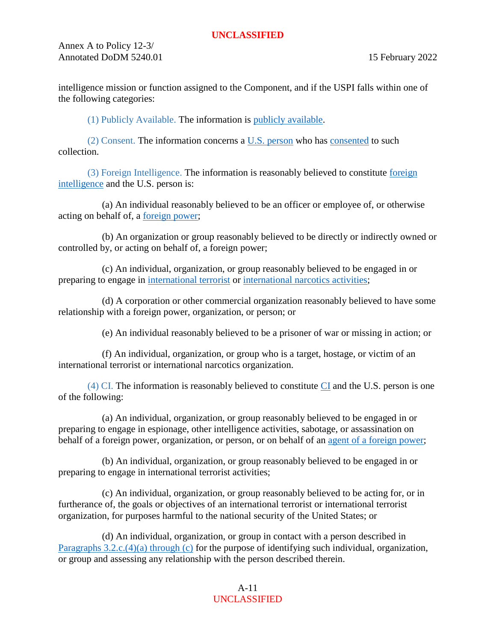Annex A to Policy 12-3/ Annotated DoDM 5240.01 15 February 2022

intelligence mission or function assigned to the Component, and if the USPI falls within one of the following categories:

(1) Publicly Available. The information is [publicly available.](#page-54-3)

(2) Consent. The information concerns a [U.S. person](#page-55-1) who has [consented](#page-46-0) to such collection.

(3) Foreign Intelligence. The information is reasonably believed to constitute [foreign](#page-49-1)  [intelligence](#page-49-1) and the U.S. person is:

(a) An individual reasonably believed to be an officer or employee of, or otherwise acting on behalf of, a [foreign power;](#page-49-2)

(b) An organization or group reasonably believed to be directly or indirectly owned or controlled by, or acting on behalf of, a foreign power;

(c) An individual, organization, or group reasonably believed to be engaged in or preparing to engage in [international terrorist](#page-51-0) or [international narcotics activities;](#page-51-1)

(d) A corporation or other commercial organization reasonably believed to have some relationship with a foreign power, organization, or person; or

(e) An individual reasonably believed to be a prisoner of war or missing in action; or

(f) An individual, organization, or group who is a target, hostage, or victim of an international terrorist or international narcotics organization.

(4) [CI](#page-45-2). The information is reasonably believed to constitute  $CI$  and the U.S. person is one of the following:

<span id="page-10-0"></span>(a) An individual, organization, or group reasonably believed to be engaged in or preparing to engage in espionage, other intelligence activities, sabotage, or assassination on behalf of a foreign power, organization, or person, or on behalf of an [agent of a foreign power;](#page-45-3)

(b) An individual, organization, or group reasonably believed to be engaged in or preparing to engage in international terrorist activities;

(c) An individual, organization, or group reasonably believed to be acting for, or in furtherance of, the goals or objectives of an international terrorist or international terrorist organization, for purposes harmful to the national security of the United States; or

(d) An individual, organization, or group in contact with a person described in [Paragraphs 3.2.c.\(4\)\(a\) through \(c\)](#page-10-0) for the purpose of identifying such individual, organization, or group and assessing any relationship with the person described therein.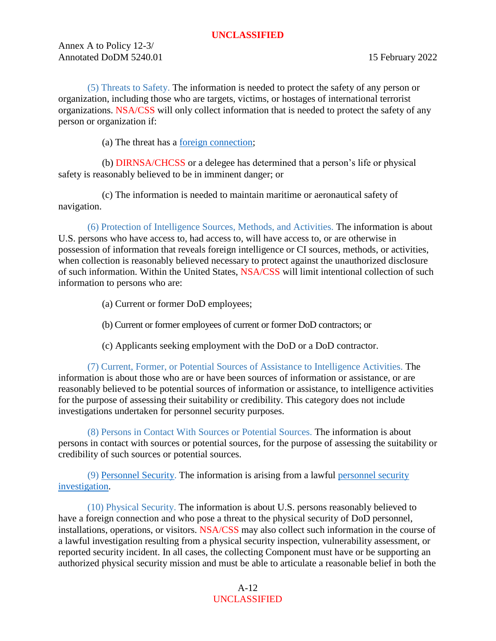Annex A to Policy 12-3/ Annotated DoDM 5240.01 15 February 2022

(5) Threats to Safety. The information is needed to protect the safety of any person or organization, including those who are targets, victims, or hostages of international terrorist organizations. NSA/CSS will only collect information that is needed to protect the safety of any person or organization if:

(a) The threat has a [foreign connection;](#page-49-3)

(b) DIRNSA/CHCSS or a delegee has determined that a person's life or physical safety is reasonably believed to be in imminent danger; or

(c) The information is needed to maintain maritime or aeronautical safety of navigation.

(6) Protection of Intelligence Sources, Methods, and Activities. The information is about U.S. persons who have access to, had access to, will have access to, or are otherwise in possession of information that reveals foreign intelligence or CI sources, methods, or activities, when collection is reasonably believed necessary to protect against the unauthorized disclosure of such information. Within the United States, NSA/CSS will limit intentional collection of such information to persons who are:

- (a) Current or former DoD employees;
- (b) Current or former employees of current or former DoD contractors; or
- (c) Applicants seeking employment with the DoD or a DoD contractor.

(7) Current, Former, or Potential Sources of Assistance to Intelligence Activities. The information is about those who are or have been sources of information or assistance, or are reasonably believed to be potential sources of information or assistance, to intelligence activities for the purpose of assessing their suitability or credibility. This category does not include investigations undertaken for personnel security purposes.

(8) Persons in Contact With Sources or Potential Sources. The information is about persons in contact with sources or potential sources, for the purpose of assessing the suitability or credibility of such sources or potential sources.

(9) [Personnel Security.](#page-53-0) The information is arising from a lawful [personnel security](#page-53-1)  [investigation.](#page-53-1)

(10) Physical Security. The information is about U.S. persons reasonably believed to have a foreign connection and who pose a threat to the physical security of DoD personnel, installations, operations, or visitors. NSA/CSS may also collect such information in the course of a lawful investigation resulting from a physical security inspection, vulnerability assessment, or reported security incident. In all cases, the collecting Component must have or be supporting an authorized physical security mission and must be able to articulate a reasonable belief in both the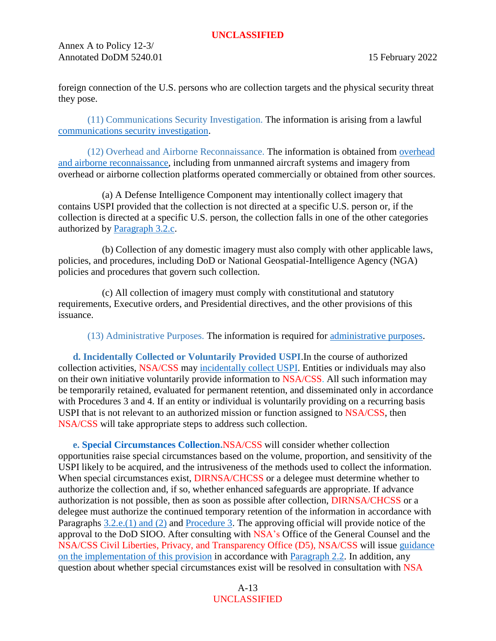Annex A to Policy 12-3/ Annotated DoDM 5240.01 15 February 2022

foreign connection of the U.S. persons who are collection targets and the physical security threat they pose.

(11) Communications Security Investigation. The information is arising from a lawful [communications security investigation.](#page-46-1)

(12) Overhead and Airborne Reconnaissance. The information is obtained from [overhead](#page-52-0)  [and airborne reconnaissance,](#page-52-0) including from unmanned aircraft systems and imagery from overhead or airborne collection platforms operated commercially or obtained from other sources.

(a) A Defense Intelligence Component may intentionally collect imagery that contains USPI provided that the collection is not directed at a specific U.S. person or, if the collection is directed at a specific U.S. person, the collection falls in one of the other categories authorized by [Paragraph 3.2.c.](#page-9-6)

(b) Collection of any domestic imagery must also comply with other applicable laws, policies, and procedures, including DoD or National Geospatial-Intelligence Agency (NGA) policies and procedures that govern such collection.

(c) All collection of imagery must comply with constitutional and statutory requirements, Executive orders, and Presidential directives, and the other provisions of this issuance.

(13) Administrative Purposes. The information is required for [administrative purposes.](#page-45-4)

<span id="page-12-0"></span>**d. Incidentally Collected or Voluntarily Provided USPI**.In the course of authorized collection activities, NSA/CSS may [incidentally collect USPI.](#page-49-4) Entities or individuals may also on their own initiative voluntarily provide information to NSA/CSS. All such information may be temporarily retained, evaluated for permanent retention, and disseminated only in accordance with Procedures 3 and 4. If an entity or individual is voluntarily providing on a recurring basis USPI that is not relevant to an authorized mission or function assigned to NSA/CSS, then NSA/CSS will take appropriate steps to address such collection.

<span id="page-12-2"></span><span id="page-12-1"></span>**e. [Special Circumstances Collection.](https://policy.sp.web.nsa.ic.gov/PolicyDepot/NSACSS%20PMemo%202021-01%2020210310.pdf)**NSA/CSS will consider whether collection opportunities raise special circumstances based on the volume, proportion, and sensitivity of the USPI likely to be acquired, and the intrusiveness of the methods used to collect the information. When special circumstances exist, DIRNSA/CHCSS or a delegee must determine whether to authorize the collection and, if so, whether enhanced safeguards are appropriate. If advance authorization is not possible, then as soon as possible after collection, DIRNSA/CHCSS or a delegee must authorize the continued temporary retention of the information in accordance with Paragraphs [3.2.e.\(1\) and \(2\)](#page-13-2) and [Procedure 3.](#page-14-1) The approving official will provide notice of the approval to the DoD SIOO. After consulting with NSA's Office of the General Counsel and the NSA/CSS Civil Liberties, Privacy, and Transparency Office (D5), NSA/CSS will issue [guidance](https://policy.sp.web.nsa.ic.gov/PolicyDepot/NSACSS%20PMemo%202021-01%2020210310.pdf)  [on the implementation of this provision](https://policy.sp.web.nsa.ic.gov/PolicyDepot/NSACSS%20PMemo%202021-01%2020210310.pdf) in accordance with [Paragraph 2.2.](#page-6-7) In addition, any question about whether special circumstances exist will be resolved in consultation with NSA

> A-13 UNCLASSIFIED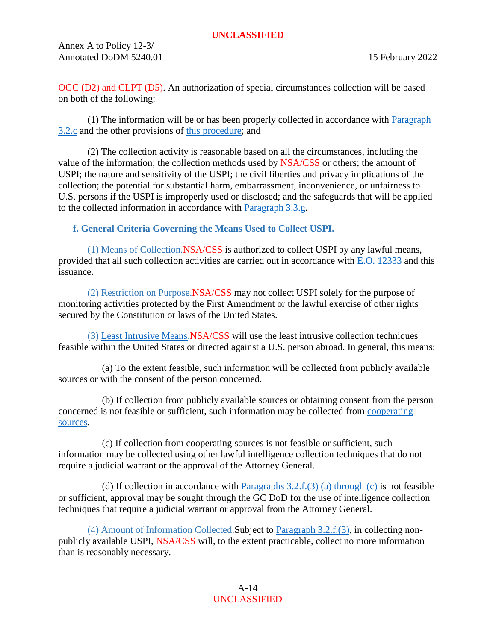Annex A to Policy 12-3/ Annotated DoDM 5240.01 15 February 2022

OGC (D2) and CLPT (D5). An authorization of special circumstances collection will be based on both of the following:

<span id="page-13-2"></span>(1) The information will be or has been properly collected in accordance with  $P<sub>aragraph</sub>$ [3.2.c](#page-9-6) and the other provisions of [this procedure;](#page-9-7) and

(2) The collection activity is reasonable based on all the circumstances, including the value of the information; the collection methods used by NSA/CSS or others; the amount of USPI; the nature and sensitivity of the USPI; the civil liberties and privacy implications of the collection; the potential for substantial harm, embarrassment, inconvenience, or unfairness to U.S. persons if the USPI is improperly used or disclosed; and the safeguards that will be applied to the collected information in accordance with [Paragraph 3.3.g.](#page-18-0)

# <span id="page-13-1"></span><span id="page-13-0"></span>**f. General Criteria Governing the Means Used to Collect USPI.**

(1) Means of Collection.NSA/CSS is authorized to collect USPI by any lawful means, provided that all such collection activities are carried out in accordance with [E.O. 12333](https://siteworks.web.nsa.ic.gov/p12/files/exec_orders/amended12333.pdf) and this issuance.

(2) Restriction on Purpose.NSA/CSS may not collect USPI solely for the purpose of monitoring activities protected by the First Amendment or the lawful exercise of other rights secured by the Constitution or laws of the United States.

<span id="page-13-3"></span>(3) [Least Intrusive Means.](#page-13-3)NSA/CSS will use the least intrusive collection techniques feasible within the United States or directed against a U.S. person abroad. In general, this means:

(a) To the extent feasible, such information will be collected from publicly available sources or with the consent of the person concerned.

(b) If collection from publicly available sources or obtaining consent from the person concerned is not feasible or sufficient, such information may be collected from [cooperating](#page-46-2)  [sources.](#page-46-2)

(c) If collection from cooperating sources is not feasible or sufficient, such information may be collected using other lawful intelligence collection techniques that do not require a judicial warrant or the approval of the Attorney General.

(d) If collection in accordance with Paragraphs  $3.2.f.(3)$  (a) through (c) is not feasible or sufficient, approval may be sought through the GC DoD for the use of intelligence collection techniques that require a judicial warrant or approval from the Attorney General.

(4) Amount of Information Collected.Subject to [Paragraph 3.2.f.\(3\),](#page-13-3) in collecting nonpublicly available USPI, NSA/CSS will, to the extent practicable, collect no more information than is reasonably necessary.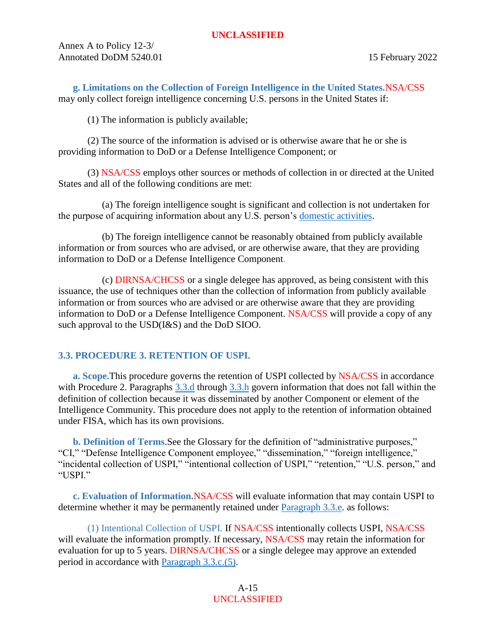Annex A to Policy 12-3/ Annotated DoDM 5240.01 15 February 2022

<span id="page-14-0"></span>**g. Limitations on the Collection of Foreign Intelligence in the United States.**NSA/CSS may only collect foreign intelligence concerning U.S. persons in the United States if:

(1) The information is publicly available;

(2) The source of the information is advised or is otherwise aware that he or she is providing information to DoD or a Defense Intelligence Component; or

(3) NSA/CSS employs other sources or methods of collection in or directed at the United States and all of the following conditions are met:

(a) The foreign intelligence sought is significant and collection is not undertaken for the purpose of acquiring information about any U.S. person's [domestic activities.](#page-48-1)

(b) The foreign intelligence cannot be reasonably obtained from publicly available information or from sources who are advised, or are otherwise aware, that they are providing information to DoD or a Defense Intelligence Component.

(c) DIRNSA/CHCSS or a single delegee has approved, as being consistent with this issuance, the use of techniques other than the collection of information from publicly available information or from sources who are advised or are otherwise aware that they are providing information to DoD or a Defense Intelligence Component. NSA/CSS will provide a copy of any such approval to the USD(I&S) and the DoD SIOO.

# <span id="page-14-1"></span>**3.3. PROCEDURE 3. RETENTION OF USPI.**

<span id="page-14-2"></span>**a. Scope.**This procedure governs the retention of USPI collected by NSA/CSS in accordance with Procedure 2. Paragraphs [3.3.d](#page-16-0) through [3.3.h](#page-19-0) govern information that does not fall within the definition of collection because it was disseminated by another Component or element of the Intelligence Community. This procedure does not apply to the retention of information obtained under FISA, which has its own provisions.

<span id="page-14-3"></span>**b. Definition of Terms**.See the Glossary for the definition of "administrative purposes," "CI," "Defense Intelligence Component employee," "dissemination," "foreign intelligence," "incidental collection of USPI," "intentional collection of USPI," "retention," "U.S. person," and "USPI."

<span id="page-14-4"></span>**c. Evaluation of Information.**NSA/CSS will evaluate information that may contain USPI to determine whether it may be permanently retained under [Paragraph 3.3.e.](#page-16-1) as follows:

<span id="page-14-5"></span>(1) Intentional Collection of USPI. If NSA/CSS intentionally collects USPI, NSA/CSS will evaluate the information promptly. If necessary, NSA/CSS may retain the information for evaluation for up to 5 years. DIRNSA/CHCSS or a single delegee may approve an extended period in accordance with [Paragraph 3.3.c.\(5\).](#page-15-0)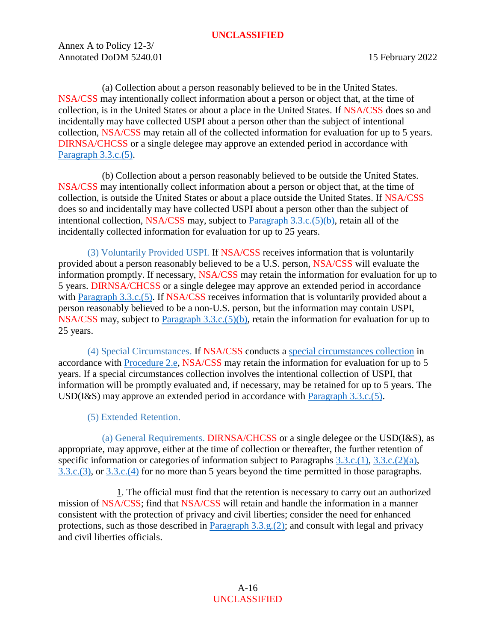Annex A to Policy 12-3/ Annotated DoDM 5240.01 15 February 2022

<span id="page-15-1"></span>(a) Collection about a person reasonably believed to be in the United States. NSA/CSS may intentionally collect information about a person or object that, at the time of collection, is in the United States or about a place in the United States. If NSA/CSS does so and incidentally may have collected USPI about a person other than the subject of intentional collection, NSA/CSS may retain all of the collected information for evaluation for up to 5 years. DIRNSA/CHCSS or a single delegee may approve an extended period in accordance with [Paragraph 3.3.c.\(5\).](#page-15-0)

(b) Collection about a person reasonably believed to be outside the United States. NSA/CSS may intentionally collect information about a person or object that, at the time of collection, is outside the United States or about a place outside the United States. If NSA/CSS does so and incidentally may have collected USPI about a person other than the subject of intentional collection, NSA/CSS may, subject to [Paragraph 3.3.c.\(5\)\(b\),](#page-16-2) retain all of the incidentally collected information for evaluation for up to 25 years.

<span id="page-15-2"></span>(3) Voluntarily Provided USPI. If NSA/CSS receives information that is voluntarily provided about a person reasonably believed to be a U.S. person, NSA/CSS will evaluate the information promptly. If necessary, NSA/CSS may retain the information for evaluation for up to 5 years. DIRNSA/CHCSS or a single delegee may approve an extended period in accordance with [Paragraph 3.3.c.\(5\).](#page-15-0) If NSA/CSS receives information that is voluntarily provided about a person reasonably believed to be a non-U.S. person, but the information may contain USPI, NSA/CSS may, subject to [Paragraph 3.3.c.\(5\)\(b\),](#page-16-2) retain the information for evaluation for up to 25 years.

<span id="page-15-3"></span>(4) Special Circumstances. If NSA/CSS conducts a [special circumstances collection](https://policy.sp.web.nsa.ic.gov/PolicyDepot/NSACSS%20PMemo%202021-01%2020210310.pdf) in accordance with [Procedure 2.e,](#page-12-2) NSA/CSS may retain the information for evaluation for up to 5 years. If a special circumstances collection involves the intentional collection of USPI, that information will be promptly evaluated and, if necessary, may be retained for up to 5 years. The USD(I&S) may approve an extended period in accordance with [Paragraph 3.3.c.\(5\).](#page-15-0)

(5) Extended Retention.

<span id="page-15-4"></span><span id="page-15-0"></span>(a) General Requirements. DIRNSA/CHCSS or a single delegee or the USD(I&S), as appropriate, may approve, either at the time of collection or thereafter, the further retention of specific information or categories of information subject to Paragraphs [3.3.c.\(1\),](#page-14-5) [3.3.c.\(2\)\(a\),](#page-15-1) [3.3.c.\(3\),](#page-15-2) or [3.3.c.\(4\)](#page-15-3) for no more than 5 years beyond the time permitted in those paragraphs.

1. The official must find that the retention is necessary to carry out an authorized mission of NSA/CSS; find that NSA/CSS will retain and handle the information in a manner consistent with the protection of privacy and civil liberties; consider the need for enhanced protections, such as those described in [Paragraph 3.3.g.\(2\);](#page-18-1) and consult with legal and privacy and civil liberties officials.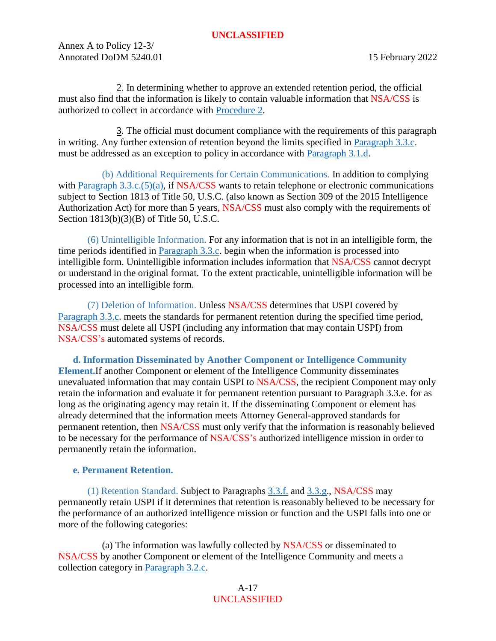Annex A to Policy 12-3/ Annotated DoDM 5240.01 15 February 2022

2. In determining whether to approve an extended retention period, the official must also find that the information is likely to contain valuable information that NSA/CSS is authorized to collect in accordance with [Procedure 2.](#page-9-7)

3. The official must document compliance with the requirements of this paragraph in writing. Any further extension of retention beyond the limits specified in [Paragraph 3.3.c.](#page-15-0) must be addressed as an exception to policy in accordance with [Paragraph 3.1.d.](#page-9-8)

<span id="page-16-2"></span>(b) Additional Requirements for Certain Communications. In addition to complying with [Paragraph 3.3.c.\(5\)\(a\),](#page-15-4) if NSA/CSS wants to retain telephone or electronic communications subject to Section 1813 of Title 50, U.S.C. (also known as Section 309 of the 2015 Intelligence Authorization Act) for more than 5 years, NSA/CSS must also comply with the requirements of Section 1813(b)(3)(B) of Title 50, U.S.C.

(6) Unintelligible Information. For any information that is not in an intelligible form, the time periods identified in [Paragraph 3.3.c.](#page-14-4) begin when the information is processed into intelligible form. Unintelligible information includes information that NSA/CSS cannot decrypt or understand in the original format. To the extent practicable, unintelligible information will be processed into an intelligible form.

(7) Deletion of Information. Unless NSA/CSS determines that USPI covered by [Paragraph 3.3.c.](#page-14-4) meets the standards for permanent retention during the specified time period, NSA/CSS must delete all USPI (including any information that may contain USPI) from NSA/CSS's automated systems of records.

<span id="page-16-0"></span>**d. Information Disseminated by Another Component or Intelligence Community Element.**If another Component or element of the Intelligence Community disseminates unevaluated information that may contain USPI to NSA/CSS, the recipient Component may only retain the information and evaluate it for permanent retention pursuant to Paragraph 3.3.e. for as long as the originating agency may retain it. If the disseminating Component or element has already determined that the information meets Attorney General-approved standards for permanent retention, then NSA/CSS must only verify that the information is reasonably believed to be necessary for the performance of NSA/CSS's authorized intelligence mission in order to permanently retain the information.

#### <span id="page-16-1"></span>**e. Permanent Retention.**

(1) Retention Standard. Subject to Paragraphs [3.3.f.](#page-17-0) and [3.3.g.](#page-18-0), NSA/CSS may permanently retain USPI if it determines that retention is reasonably believed to be necessary for the performance of an authorized intelligence mission or function and the USPI falls into one or more of the following categories:

(a) The information was lawfully collected by NSA/CSS or disseminated to NSA/CSS by another Component or element of the Intelligence Community and meets a collection category in [Paragraph 3.2.c.](#page-9-6)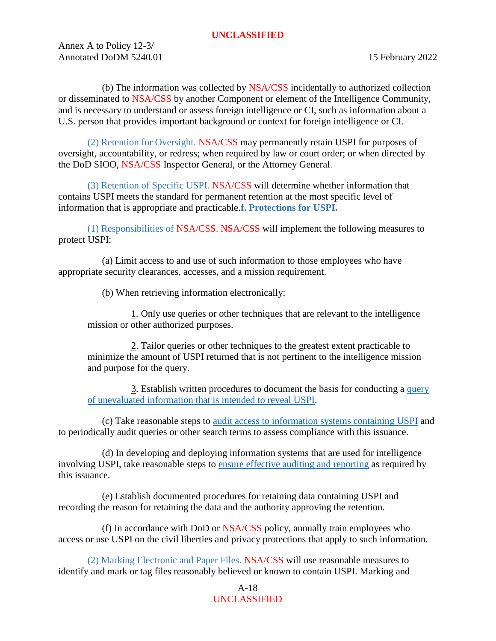Annex A to Policy 12-3/ Annotated DoDM 5240.01 15 February 2022

(b) The information was collected by NSA/CSS incidentally to authorized collection or disseminated to NSA/CSS by another Component or element of the Intelligence Community, and is necessary to understand or assess foreign intelligence or CI, such as information about a U.S. person that provides important background or context for foreign intelligence or CI.

(2) Retention for Oversight. NSA/CSS may permanently retain USPI for purposes of oversight, accountability, or redress; when required by law or court order; or when directed by the DoD SIOO, NSA/CSS Inspector General, or the Attorney General.

(3) Retention of Specific USPI. NSA/CSS will determine whether information that contains USPI meets the standard for permanent retention at the most specific level of information that is appropriate and practicable.**f. Protections for USPI.**

(1) Responsibilities of NSA/CSS. NSA/CSS will implement the following measures to protect USPI:

(a) Limit access to and use of such information to those employees who have appropriate security clearances, accesses, and a mission requirement.

<span id="page-17-0"></span>(b) When retrieving information electronically:

1. Only use queries or other techniques that are relevant to the intelligence mission or other authorized purposes.

2. Tailor queries or other techniques to the greatest extent practicable to minimize the amount of USPI returned that is not pertinent to the intelligence mission and purpose for the query.

3. Establish written procedures to document the basis for conducting a [query](https://policy.sp.web.nsa.ic.gov/PolicyDepot/NSACSS%20PMemo%202019-02%2020210128.pdf)  [of unevaluated information that is intended to reveal USPI.](https://policy.sp.web.nsa.ic.gov/PolicyDepot/NSACSS%20PMemo%202019-02%2020210128.pdf)

(c) Take reasonable steps to [audit access to information systems containing USPI](https://policy.sp.web.nsa.ic.gov/PolicyDepot/NSACSS%20P%2012-2%2020210301.pdf) and to periodically audit queries or other search terms to assess compliance with this issuance.

(d) In developing and deploying information systems that are used for intelligence involving USPI, take reasonable steps to [ensure effective auditing and reporting](https://policy.sp.web.nsa.ic.gov/PolicyDepot/NSACSS%20P%2012-2%2020210730.pdf) as required by this issuance.

(e) Establish documented procedures for retaining data containing USPI and recording the reason for retaining the data and the authority approving the retention.

(f) In accordance with DoD or NSA/CSS policy, annually train employees who access or use USPI on the civil liberties and privacy protections that apply to such information.

(2) Marking Electronic and Paper Files. NSA/CSS will use reasonable measures to identify and mark or tag files reasonably believed or known to contain USPI. Marking and

# A-18 UNCLASSIFIED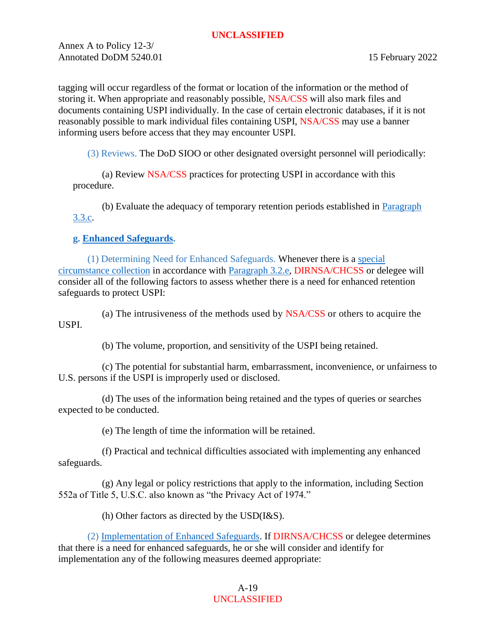Annex A to Policy 12-3/ Annotated DoDM 5240.01 15 February 2022

tagging will occur regardless of the format or location of the information or the method of storing it. When appropriate and reasonably possible, NSA/CSS will also mark files and documents containing USPI individually. In the case of certain electronic databases, if it is not reasonably possible to mark individual files containing USPI, NSA/CSS may use a banner informing users before access that they may encounter USPI.

(3) Reviews. The DoD SIOO or other designated oversight personnel will periodically:

(a) Review NSA/CSS practices for protecting USPI in accordance with this procedure.

(b) Evaluate the adequacy of temporary retention periods established in [Paragraph](#page-14-4)  [3.3.c.](#page-14-4)

# <span id="page-18-0"></span>**g. [Enhanced Safeguards.](#page-18-0)**

(1) Determining Need for Enhanced Safeguards. Whenever there is a [special](https://policy.sp.web.nsa.ic.gov/PolicyDepot/NSACSS%20PMemo%202021-01%2020210310.pdf)  [circumstance collection](https://policy.sp.web.nsa.ic.gov/PolicyDepot/NSACSS%20PMemo%202021-01%2020210310.pdf) in accordance with [Paragraph 3.2.e,](#page-12-2) DIRNSA/CHCSS or delegee will consider all of the following factors to assess whether there is a need for enhanced retention safeguards to protect USPI:

(a) The intrusiveness of the methods used by NSA/CSS or others to acquire the USPI.

(b) The volume, proportion, and sensitivity of the USPI being retained.

(c) The potential for substantial harm, embarrassment, inconvenience, or unfairness to U.S. persons if the USPI is improperly used or disclosed.

(d) The uses of the information being retained and the types of queries or searches expected to be conducted.

(e) The length of time the information will be retained.

(f) Practical and technical difficulties associated with implementing any enhanced safeguards.

(g) Any legal or policy restrictions that apply to the information, including Section 552a of Title 5, U.S.C. also known as "the Privacy Act of 1974."

<span id="page-18-1"></span>(h) Other factors as directed by the USD(I&S).

(2) [Implementation of Enhanced Safeguards.](https://policy.sp.web.nsa.ic.gov/PolicyDepot/NSACSS%20PMemo%202019-02%2020210128.pdf) If DIRNSA/CHCSS or delegee determines that there is a need for enhanced safeguards, he or she will consider and identify for implementation any of the following measures deemed appropriate:

## A-19 UNCLASSIFIED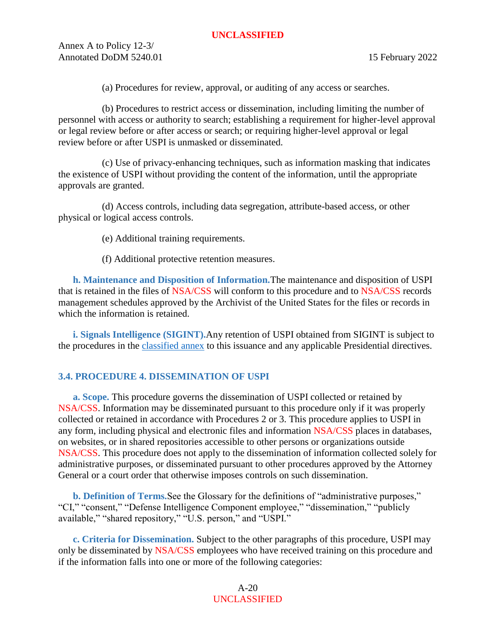Annex A to Policy 12-3/ Annotated DoDM 5240.01 15 February 2022

(a) Procedures for review, approval, or auditing of any access or searches.

(b) Procedures to restrict access or dissemination, including limiting the number of personnel with access or authority to search; establishing a requirement for higher-level approval or legal review before or after access or search; or requiring higher-level approval or legal review before or after USPI is unmasked or disseminated.

(c) Use of privacy-enhancing techniques, such as information masking that indicates the existence of USPI without providing the content of the information, until the appropriate approvals are granted.

(d) Access controls, including data segregation, attribute-based access, or other physical or logical access controls.

(e) Additional training requirements.

(f) Additional protective retention measures.

<span id="page-19-0"></span>**h. Maintenance and Disposition of Information.**The maintenance and disposition of USPI that is retained in the files of NSA/CSS will conform to this procedure and to NSA/CSS [records](https://siteworks.web.nsa.ic.gov/p134/records-disposition-schedules/#i209870_tab1)  [management schedules](https://siteworks.web.nsa.ic.gov/p134/records-disposition-schedules/#i209870_tab1) approved by the Archivist of the United States for the files or records in which the information is retained.

<span id="page-19-1"></span>**i. Signals Intelligence (SIGINT).**Any retention of USPI obtained from SIGINT is subject to the procedures in the [classified](https://policy.sp.web.nsa.ic.gov/PolicyDepot/DoDM%20S-5240.01-A%2020210107.pdf) annex to this issuance and any applicable Presidential directives.

#### <span id="page-19-2"></span>**3.4. PROCEDURE 4. DISSEMINATION OF USPI**

<span id="page-19-3"></span>**a. Scope.** This procedure governs the dissemination of USPI collected or retained by NSA/CSS. Information may be disseminated pursuant to this procedure only if it was properly collected or retained in accordance with Procedures [2](#page-9-7) or [3.](#page-14-1) This procedure applies to USPI in any form, including physical and electronic files and information NSA/CSS places in databases, on websites, or in shared repositories accessible to other persons or organizations outside NSA/CSS. This procedure does not apply to the dissemination of information collected solely for administrative purposes, or disseminated pursuant to other procedures approved by the Attorney General or a court order that otherwise imposes controls on such dissemination.

<span id="page-19-4"></span>**b. Definition of Terms.**See the Glossary for the definitions of "administrative purposes," "CI," "consent," "Defense Intelligence Component employee," "dissemination," "publicly available," "shared repository," "U.S. person," and "USPI."

<span id="page-19-5"></span>**c. Criteria for Dissemination.** Subject to the other paragraphs of this procedure, USPI may only be disseminated by NSA/CSS employees who have received training on this procedure and if the information falls into one or more of the following categories:

> A-20 UNCLASSIFIED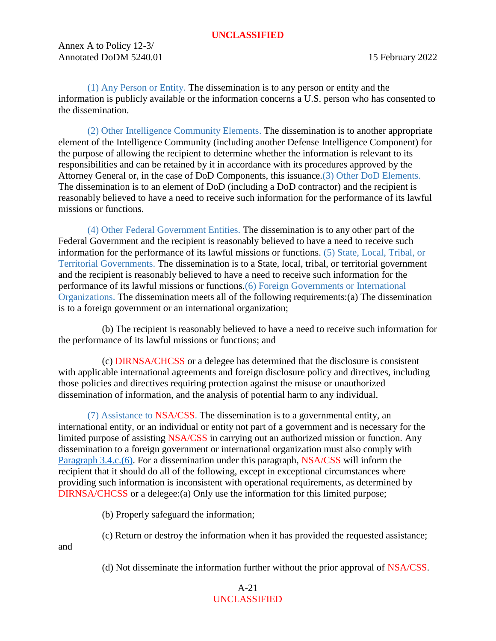Annex A to Policy 12-3/ Annotated DoDM 5240.01 15 February 2022

<span id="page-20-1"></span>

<span id="page-20-2"></span>(1) Any Person or Entity. The dissemination is to any person or entity and the information is publicly available or the information concerns a U.S. person who has consented to the dissemination.

<span id="page-20-3"></span>(2) Other Intelligence Community Elements. The dissemination is to another appropriate element of the Intelligence Community (including another Defense Intelligence Component) for the purpose of allowing the recipient to determine whether the information is relevant to its responsibilities and can be retained by it in accordance with its procedures approved by the Attorney General or, in the case of DoD Components, this issuance.(3) Other DoD Elements. The dissemination is to an element of DoD (including a DoD contractor) and the recipient is reasonably believed to have a need to receive such information for the performance of its lawful missions or functions.

<span id="page-20-4"></span>(4) Other Federal Government Entities. The dissemination is to any other part of the Federal Government and the recipient is reasonably believed to have a need to receive such information for the performance of its lawful missions or functions. (5) State, Local, Tribal, or Territorial Governments. The dissemination is to a State, local, tribal, or territorial government and the recipient is reasonably believed to have a need to receive such information for the performance of its lawful missions or functions.(6) Foreign Governments or International Organizations. The dissemination meets all of the following requirements:(a) The dissemination is to a foreign government or an international organization;

<span id="page-20-0"></span>(b) The recipient is reasonably believed to have a need to receive such information for the performance of its lawful missions or functions; and

(c) DIRNSA/CHCSS or a delegee has determined that the disclosure is consistent with applicable international agreements and foreign disclosure policy and directives, including those policies and directives requiring protection against the misuse or unauthorized dissemination of information, and the analysis of potential harm to any individual.

(7) Assistance to NSA/CSS. The dissemination is to a governmental entity, an international entity, or an individual or entity not part of a government and is necessary for the limited purpose of assisting NSA/CSS in carrying out an authorized mission or function. Any dissemination to a foreign government or international organization must also comply with [Paragraph 3.4.c.\(6\).](#page-20-0) For a dissemination under this paragraph, NSA/CSS will inform the recipient that it should do all of the following, except in exceptional circumstances where providing such information is inconsistent with operational requirements, as determined by DIRNSA/CHCSS or a delegee:(a) Only use the information for this limited purpose;

(b) Properly safeguard the information;

and

(c) Return or destroy the information when it has provided the requested assistance;

(d) Not disseminate the information further without the prior approval of NSA/CSS.

# A-21 UNCLASSIFIED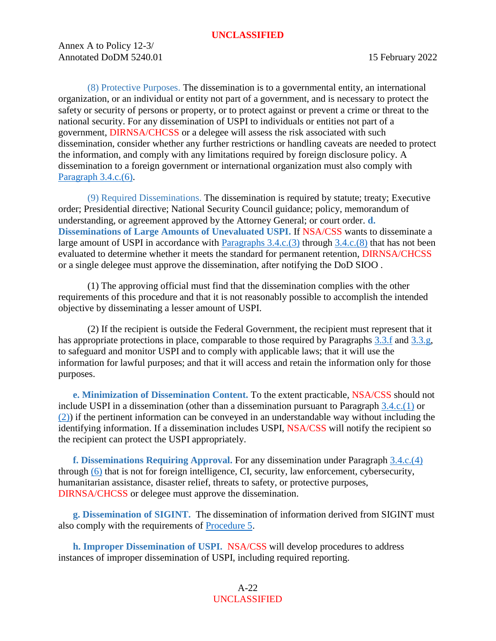Annex A to Policy 12-3/ Annotated DoDM 5240.01 15 February 2022

<span id="page-21-5"></span>(8) Protective Purposes. The dissemination is to a governmental entity, an international organization, or an individual or entity not part of a government, and is necessary to protect the safety or security of persons or property, or to protect against or prevent a crime or threat to the national security. For any dissemination of USPI to individuals or entities not part of a government, DIRNSA/CHCSS or a delegee will assess the risk associated with such dissemination, consider whether any further restrictions or handling caveats are needed to protect the information, and comply with any limitations required by foreign disclosure policy. A dissemination to a foreign government or international organization must also comply with [Paragraph 3.4.c.\(6\).](#page-20-0)

<span id="page-21-0"></span>(9) Required Disseminations. The dissemination is required by statute; treaty; Executive order; Presidential directive; National Security Council guidance; policy, memorandum of understanding, or agreement approved by the Attorney General; or court order. **d. Disseminations of Large Amounts of Unevaluated USPI.** If NSA/CSS wants to disseminate a large amount of USPI in accordance with [Paragraphs 3.4.c.\(3\)](#page-20-1) through [3.4.c.\(8\)](#page-21-5) that has not been evaluated to determine whether it meets the standard for permanent retention, DIRNSA/CHCSS or a single delegee must approve the dissemination, after notifying the DoD SIOO .

(1) The approving official must find that the dissemination complies with the other requirements of this procedure and that it is not reasonably possible to accomplish the intended objective by disseminating a lesser amount of USPI.

(2) If the recipient is outside the Federal Government, the recipient must represent that it has appropriate protections in place, comparable to those required by Paragraphs [3.3.f](#page-17-0) and [3.3.g,](#page-18-0) to safeguard and monitor USPI and to comply with applicable laws; that it will use the information for lawful purposes; and that it will access and retain the information only for those purposes.

<span id="page-21-1"></span>**e. Minimization of Dissemination Content.** To the extent practicable, NSA/CSS should not include USPI in a dissemination (other than a dissemination pursuant to Paragraph [3.4.c.\(1\)](#page-20-2) or [\(2\)\)](#page-20-3) if the pertinent information can be conveyed in an understandable way without including the identifying information. If a dissemination includes USPI, NSA/CSS will notify the recipient so the recipient can protect the USPI appropriately.

<span id="page-21-2"></span>**f. Disseminations Requiring Approval.** For any dissemination under Paragraph [3.4.c.\(4\)](#page-20-4) through [\(6\)](#page-20-0) that is not for foreign intelligence, CI, security, law enforcement, cybersecurity, humanitarian assistance, disaster relief, threats to safety, or protective purposes, DIRNSA/CHCSS or delegee must approve the dissemination.

<span id="page-21-3"></span>**g. Dissemination of SIGINT.** The dissemination of information derived from SIGINT must also comply with the requirements of [Procedure 5.](#page-22-4)

<span id="page-21-4"></span>**h. Improper Dissemination of USPI.** NSA/CSS will develop procedures to address instances of improper dissemination of USPI, including required reporting.

> A-22 UNCLASSIFIED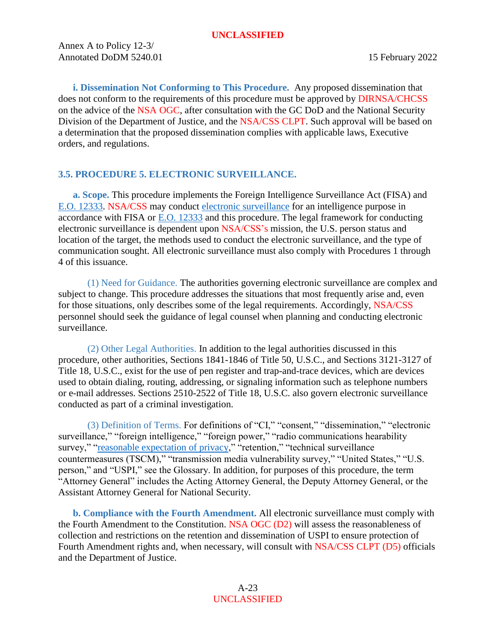Annex A to Policy 12-3/ Annotated DoDM 5240.01 15 February 2022

<span id="page-22-0"></span>**i. Dissemination Not Conforming to This Procedure.** Any proposed dissemination that does not conform to the requirements of this procedure must be approved by DIRNSA/CHCSS on the advice of the NSA OGC, after consultation with the GC DoD and the National Security Division of the Department of Justice, and the NSA/CSS CLPT. Such approval will be based on a determination that the proposed dissemination complies with applicable laws, Executive orders, and regulations.

# <span id="page-22-4"></span><span id="page-22-1"></span>**3.5. PROCEDURE 5. ELECTRONIC SURVEILLANCE.**

<span id="page-22-2"></span>**a. Scope.** This procedure implements the Foreign Intelligence Surveillance Act (FISA) and [E.O. 12333.](https://siteworks.web.nsa.ic.gov/p12/files/exec_orders/amended12333.pdf) NSA/CSS may conduct [electronic surveillance](#page-48-2) for an intelligence purpose in accordance with FISA or [E.O. 12333](https://siteworks.web.nsa.ic.gov/p12/files/exec_orders/amended12333.pdf) and this procedure. The legal framework for conducting electronic surveillance is dependent upon NSA/CSS's mission, the U.S. person status and location of the target, the methods used to conduct the electronic surveillance, and the type of communication sought. All electronic surveillance must also comply with Procedures 1 through 4 of this issuance.

(1) Need for Guidance. The authorities governing electronic surveillance are complex and subject to change. This procedure addresses the situations that most frequently arise and, even for those situations, only describes some of the legal requirements. Accordingly, NSA/CSS personnel should seek the guidance of legal counsel when planning and conducting electronic surveillance.

(2) Other Legal Authorities. In addition to the legal authorities discussed in this procedure, other authorities, Sections 1841-1846 of Title 50, U.S.C., and Sections 3121-3127 of Title 18, U.S.C., exist for the use of pen register and trap-and-trace devices, which are devices used to obtain dialing, routing, addressing, or signaling information such as telephone numbers or e-mail addresses. Sections 2510-2522 of Title 18, U.S.C. also govern electronic surveillance conducted as part of a criminal investigation.

(3) Definition of Terms. For definitions of "CI," "consent," "dissemination," "electronic surveillance," "foreign intelligence," "foreign power," "radio communications hearability survey," ["reasonable expectation of privacy,](#page-54-4)" "retention," "technical surveillance countermeasures (TSCM)," "transmission media vulnerability survey," "United States," "U.S. person," and "USPI," see the Glossary. In addition, for purposes of this procedure, the term "Attorney General" includes the Acting Attorney General, the Deputy Attorney General, or the Assistant Attorney General for National Security.

<span id="page-22-3"></span>**b. Compliance with the Fourth Amendment.** All electronic surveillance must comply with the Fourth Amendment to the Constitution. NSA OGC (D2) will assess the reasonableness of collection and restrictions on the retention and dissemination of USPI to ensure protection of Fourth Amendment rights and, when necessary, will consult with NSA/CSS CLPT (D5) officials and the Department of Justice.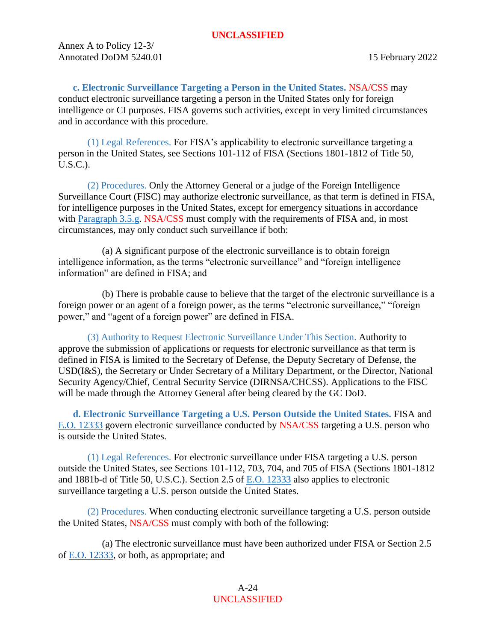Annex A to Policy 12-3/ Annotated DoDM 5240.01 15 February 2022

<span id="page-23-0"></span>**c. Electronic Surveillance Targeting a Person in the United States.** NSA/CSS may conduct electronic surveillance targeting a person in the United States only for foreign intelligence or CI purposes. FISA governs such activities, except in very limited circumstances and in accordance with this procedure.

(1) Legal References. For FISA's applicability to electronic surveillance targeting a person in the United States, see Sections 101-112 of FISA (Sections 1801-1812 of Title 50, U.S.C.).

(2) Procedures. Only the Attorney General or a judge of the Foreign Intelligence Surveillance Court (FISC) may authorize electronic surveillance, as that term is defined in FISA, for intelligence purposes in the United States, except for emergency situations in accordance with [Paragraph 3.5.g.](#page-25-2) NSA/CSS must comply with the requirements of FISA and, in most circumstances, may only conduct such surveillance if both:

(a) A significant purpose of the electronic surveillance is to obtain foreign intelligence information, as the terms "electronic surveillance" and "foreign intelligence information" are defined in FISA; and

(b) There is probable cause to believe that the target of the electronic surveillance is a foreign power or an agent of a foreign power, as the terms "electronic surveillance," "foreign power," and "agent of a foreign power" are defined in FISA.

(3) Authority to Request Electronic Surveillance Under This Section. Authority to approve the submission of applications or requests for electronic surveillance as that term is defined in FISA is limited to the Secretary of Defense, the Deputy Secretary of Defense, the USD(I&S), the Secretary or Under Secretary of a Military Department, or the Director, National Security Agency/Chief, Central Security Service (DIRNSA/CHCSS). Applications to the FISC will be made through the Attorney General after being cleared by the GC DoD.

<span id="page-23-1"></span>**d. Electronic Surveillance Targeting a U.S. Person Outside the United States.** FISA and [E.O. 12333](https://siteworks.web.nsa.ic.gov/p12/files/exec_orders/amended12333.pdf) govern electronic surveillance conducted by NSA/CSS targeting a U.S. person who is outside the United States.

(1) Legal References. For electronic surveillance under FISA targeting a U.S. person outside the United States, see Sections 101-112, 703, 704, and 705 of FISA (Sections 1801-1812 and 1881b-d of Title 50, U.S.C.). Section 2.5 of [E.O. 12333](https://siteworks.web.nsa.ic.gov/p12/files/exec_orders/amended12333.pdf) also applies to electronic surveillance targeting a U.S. person outside the United States.

(2) Procedures. When conducting electronic surveillance targeting a U.S. person outside the United States, NSA/CSS must comply with both of the following:

(a) The electronic surveillance must have been authorized under FISA or Section 2.5 of [E.O. 12333,](https://siteworks.web.nsa.ic.gov/p12/files/exec_orders/amended12333.pdf) or both, as appropriate; and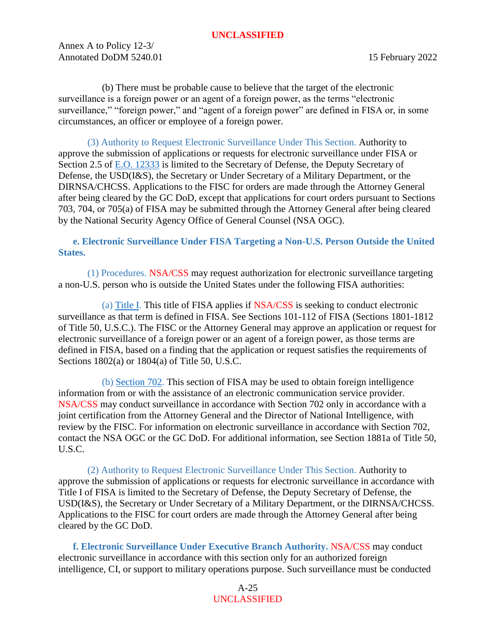Annex A to Policy 12-3/ Annotated DoDM 5240.01 15 February 2022

(b) There must be probable cause to believe that the target of the electronic surveillance is a foreign power or an agent of a foreign power, as the terms "electronic surveillance," "foreign power," and "agent of a foreign power" are defined in FISA or, in some circumstances, an officer or employee of a foreign power.

(3) Authority to Request Electronic Surveillance Under This Section. Authority to approve the submission of applications or requests for electronic surveillance under FISA or Section 2.5 of [E.O. 12333](https://siteworks.web.nsa.ic.gov/p12/files/exec_orders/amended12333.pdf) is limited to the Secretary of Defense, the Deputy Secretary of Defense, the USD(I&S), the Secretary or Under Secretary of a Military Department, or the DIRNSA/CHCSS. Applications to the FISC for orders are made through the Attorney General after being cleared by the GC DoD, except that applications for court orders pursuant to Sections 703, 704, or 705(a) of FISA may be submitted through the Attorney General after being cleared by the National Security Agency Office of General Counsel (NSA OGC).

<span id="page-24-0"></span>**e. Electronic Surveillance Under FISA Targeting a Non-U.S. Person Outside the United States.**

(1) Procedures. NSA/CSS may request authorization for electronic surveillance targeting a non-U.S. person who is outside the United States under the following FISA authorities:

(a) [Title I.](https://policy.sp.web.nsa.ic.gov/PolicyDepot/PL%20110-261%2020080710.pdf) This title of FISA applies if NSA/CSS is seeking to conduct electronic surveillance as that term is defined in FISA. See Sections 101-112 of FISA (Sections 1801-1812 of Title 50, U.S.C.). The FISC or the Attorney General may approve an application or request for electronic surveillance of a foreign power or an agent of a foreign power, as those terms are defined in FISA, based on a finding that the application or request satisfies the requirements of Sections 1802(a) or 1804(a) of Title 50, U.S.C.

(b) [Section 702.](https://policy.sp.web.nsa.ic.gov/PolicyDepot/PL%20110-261%2020080710.pdf) This section of FISA may be used to obtain foreign intelligence information from or with the assistance of an electronic communication service provider. NSA/CSS may conduct surveillance in accordance with Section 702 only in accordance with a joint certification from the Attorney General and the Director of National Intelligence, with review by the FISC. For information on electronic surveillance in accordance with Section 702, contact the NSA OGC or the GC DoD. For additional information, see Section 1881a of Title 50, U.S.C.

(2) Authority to Request Electronic Surveillance Under This Section. Authority to approve the submission of applications or requests for electronic surveillance in accordance with Title I of FISA is limited to the Secretary of Defense, the Deputy Secretary of Defense, the USD(I&S), the Secretary or Under Secretary of a Military Department, or the DIRNSA/CHCSS. Applications to the FISC for court orders are made through the Attorney General after being cleared by the GC DoD.

<span id="page-24-1"></span>**f. Electronic Surveillance Under Executive Branch Authority.** NSA/CSS may conduct electronic surveillance in accordance with this section only for an authorized foreign intelligence, CI, or support to military operations purpose. Such surveillance must be conducted

> A-25 UNCLASSIFIED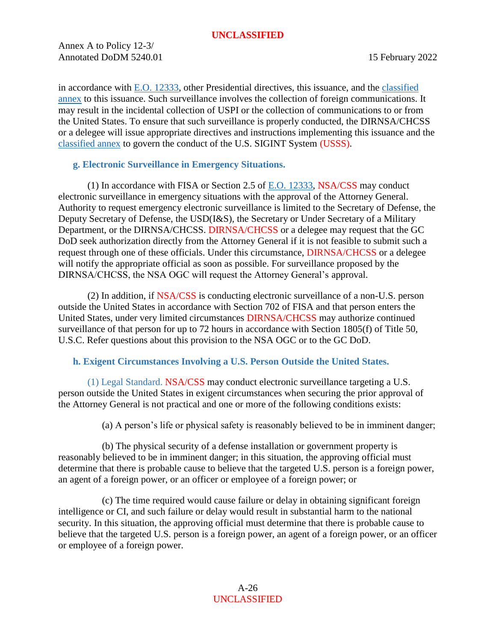Annex A to Policy 12-3/ Annotated DoDM 5240.01 15 February 2022

in accordance with [E.O. 12333,](https://siteworks.web.nsa.ic.gov/p12/files/exec_orders/amended12333.pdf) other Presidential directives, this issuance, and the [classified](https://policy.sp.web.nsa.ic.gov/PolicyDepot/DoDM%20S-5240.01-A%2020210107.pdf)  [annex](https://policy.sp.web.nsa.ic.gov/PolicyDepot/DoDM%20S-5240.01-A%2020210107.pdf) to this issuance. Such surveillance involves the collection of foreign communications. It may result in the incidental collection of USPI or the collection of communications to or from the United States. To ensure that such surveillance is properly conducted, the DIRNSA/CHCSS or a delegee will issue appropriate directives and instructions implementing this issuance and the [classified annex](https://policy.sp.web.nsa.ic.gov/PolicyDepot/DoDM%20S-5240.01-A%2020210107.pdf) to govern the conduct of the U.S. SIGINT System (USSS).

# <span id="page-25-2"></span><span id="page-25-0"></span>**g. Electronic Surveillance in Emergency Situations.**

(1) In accordance with FISA or Section 2.5 of [E.O. 12333,](https://siteworks.web.nsa.ic.gov/p12/files/exec_orders/amended12333.pdf) NSA/CSS may conduct electronic surveillance in emergency situations with the approval of the Attorney General. Authority to request emergency electronic surveillance is limited to the Secretary of Defense, the Deputy Secretary of Defense, the USD(I&S), the Secretary or Under Secretary of a Military Department, or the DIRNSA/CHCSS. DIRNSA/CHCSS or a delegee may request that the GC DoD seek authorization directly from the Attorney General if it is not feasible to submit such a request through one of these officials. Under this circumstance, DIRNSA/CHCSS or a delegee will notify the appropriate official as soon as possible. For surveillance proposed by the DIRNSA/CHCSS, the NSA OGC will request the Attorney General's approval.

(2) In addition, if NSA/CSS is conducting electronic surveillance of a non-U.S. person outside the United States in accordance with Section 702 of FISA and that person enters the United States, under very limited circumstances DIRNSA/CHCSS may authorize continued surveillance of that person for up to 72 hours in accordance with Section 1805(f) of Title 50, U.S.C. Refer questions about this provision to the NSA OGC or to the GC DoD.

# <span id="page-25-1"></span>**h. Exigent Circumstances Involving a U.S. Person Outside the United States.**

(1) Legal Standard. NSA/CSS may conduct electronic surveillance targeting a U.S. person outside the United States in exigent circumstances when securing the prior approval of the Attorney General is not practical and one or more of the following conditions exists:

(a) A person's life or physical safety is reasonably believed to be in imminent danger;

(b) The physical security of a defense installation or government property is reasonably believed to be in imminent danger; in this situation, the approving official must determine that there is probable cause to believe that the targeted U.S. person is a foreign power, an agent of a foreign power, or an officer or employee of a foreign power; or

(c) The time required would cause failure or delay in obtaining significant foreign intelligence or CI, and such failure or delay would result in substantial harm to the national security. In this situation, the approving official must determine that there is probable cause to believe that the targeted U.S. person is a foreign power, an agent of a foreign power, or an officer or employee of a foreign power.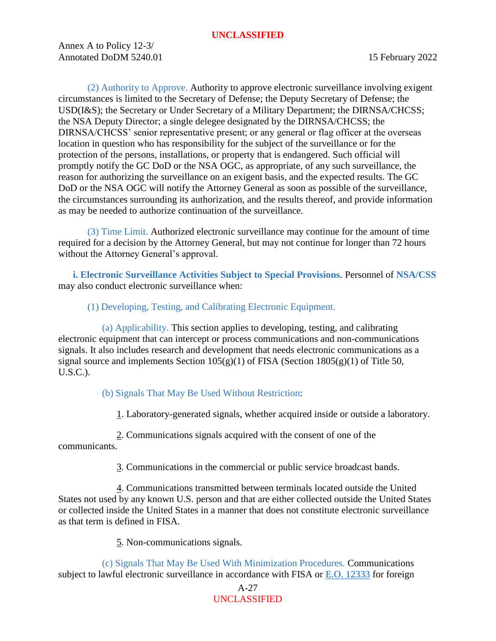Annex A to Policy 12-3/ Annotated DoDM 5240.01 15 February 2022

(2) Authority to Approve. Authority to approve electronic surveillance involving exigent circumstances is limited to the Secretary of Defense; the Deputy Secretary of Defense; the USD(I&S); the Secretary or Under Secretary of a Military Department; the DIRNSA/CHCSS; the NSA Deputy Director; a single delegee designated by the DIRNSA/CHCSS; the DIRNSA/CHCSS' senior representative present; or any general or flag officer at the overseas location in question who has responsibility for the subject of the surveillance or for the protection of the persons, installations, or property that is endangered. Such official will promptly notify the GC DoD or the NSA OGC, as appropriate, of any such surveillance, the reason for authorizing the surveillance on an exigent basis, and the expected results. The GC DoD or the NSA OGC will notify the Attorney General as soon as possible of the surveillance, the circumstances surrounding its authorization, and the results thereof, and provide information as may be needed to authorize continuation of the surveillance.

(3) Time Limit. Authorized electronic surveillance may continue for the amount of time required for a decision by the Attorney General, but may not continue for longer than 72 hours without the Attorney General's approval.

<span id="page-26-0"></span>**i. Electronic Surveillance Activities Subject to Special Provisions.** Personnel of **NSA/CSS** may also conduct electronic surveillance when:

(1) Developing, Testing, and Calibrating Electronic Equipment.

(a) Applicability. This section applies to developing, testing, and calibrating electronic equipment that can intercept or process communications and non-communications signals. It also includes research and development that needs electronic communications as a signal source and implements Section  $105(g)(1)$  of FISA (Section  $1805(g)(1)$  of Title 50, U.S.C.).

(b) Signals That May Be Used Without Restriction:

1. Laboratory-generated signals, whether acquired inside or outside a laboratory.

2. Communications signals acquired with the consent of one of the

communicants.

3. Communications in the commercial or public service broadcast bands.

4. Communications transmitted between terminals located outside the United States not used by any known U.S. person and that are either collected outside the United States or collected inside the United States in a manner that does not constitute electronic surveillance as that term is defined in FISA.

5. Non-communications signals.

(c) Signals That May Be Used With Minimization Procedures. Communications subject to lawful electronic surveillance in accordance with FISA or [E.O. 12333](https://siteworks.web.nsa.ic.gov/p12/files/exec_orders/amended12333.pdf) for foreign

# A-27 UNCLASSIFIED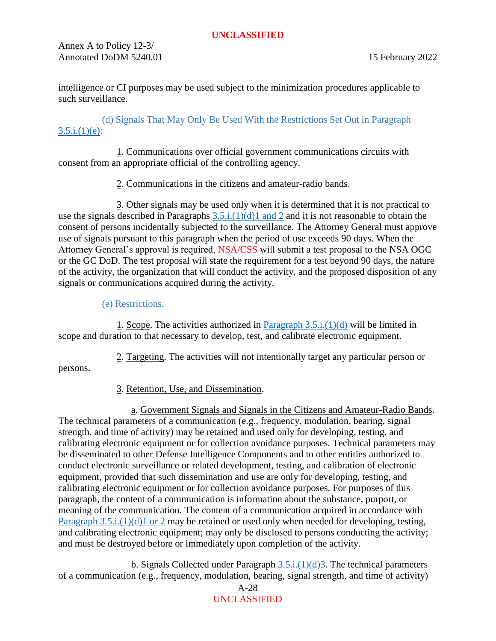Annex A to Policy 12-3/ Annotated DoDM 5240.01 15 February 2022

intelligence or CI purposes may be used subject to the minimization procedures applicable to such surveillance.

<span id="page-27-1"></span>(d) Signals That May Only Be Used With the Restrictions Set Out in Paragraph  $3.5.i.(1)(e):$ 

1. Communications over official government communications circuits with consent from an appropriate official of the controlling agency.

2. Communications in the citizens and amateur-radio bands.

3. Other signals may be used only when it is determined that it is not practical to use the signals described in Paragraphs  $3.5.i.(1)(d)1$  and 2 and it is not reasonable to obtain the consent of persons incidentally subjected to the surveillance. The Attorney General must approve use of signals pursuant to this paragraph when the period of use exceeds 90 days. When the Attorney General's approval is required, NSA/CSS will submit a test proposal to the NSA OGC or the GC DoD. The test proposal will state the requirement for a test beyond 90 days, the nature of the activity, the organization that will conduct the activity, and the proposed disposition of any signals or communications acquired during the activity.

# <span id="page-27-0"></span>(e) Restrictions.

1. Scope. The activities authorized in [Paragraph 3.5.i.\(1\)\(d\)](#page-27-1) will be limited in scope and duration to that necessary to develop, test, and calibrate electronic equipment.

2. Targeting. The activities will not intentionally target any particular person or persons.

3. Retention, Use, and Dissemination.

a. Government Signals and Signals in the Citizens and Amateur-Radio Bands. The technical parameters of a communication (e.g., frequency, modulation, bearing, signal strength, and time of activity) may be retained and used only for developing, testing, and calibrating electronic equipment or for collection avoidance purposes. Technical parameters may be disseminated to other Defense Intelligence Components and to other entities authorized to conduct electronic surveillance or related development, testing, and calibration of electronic equipment, provided that such dissemination and use are only for developing, testing, and calibrating electronic equipment or for collection avoidance purposes. For purposes of this paragraph, the content of a communication is information about the substance, purport, or meaning of the communication. The content of a communication acquired in accordance with [Paragraph 3.5.i.\(1\)\(d\)1 or 2](#page-27-1) may be retained or used only when needed for developing, testing, and calibrating electronic equipment; may only be disclosed to persons conducting the activity; and must be destroyed before or immediately upon completion of the activity.

b. Signals Collected under Paragraph  $3.5.i.(1)(d)3$ . The technical parameters of a communication (e.g., frequency, modulation, bearing, signal strength, and time of activity)

A-28 UNCLASSIFIED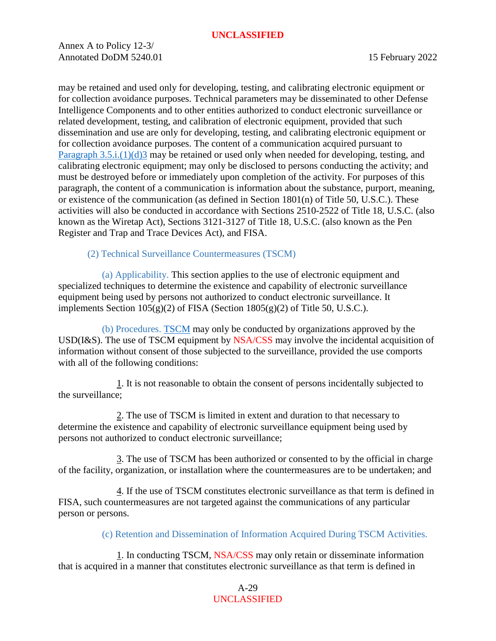Annex A to Policy 12-3/ Annotated DoDM 5240.01 15 February 2022

may be retained and used only for developing, testing, and calibrating electronic equipment or for collection avoidance purposes. Technical parameters may be disseminated to other Defense Intelligence Components and to other entities authorized to conduct electronic surveillance or related development, testing, and calibration of electronic equipment, provided that such dissemination and use are only for developing, testing, and calibrating electronic equipment or for collection avoidance purposes. The content of a communication acquired pursuant to [Paragraph 3.5.i.\(1\)\(d\)3](#page-27-1) may be retained or used only when needed for developing, testing, and calibrating electronic equipment; may only be disclosed to persons conducting the activity; and must be destroyed before or immediately upon completion of the activity. For purposes of this paragraph, the content of a communication is information about the substance, purport, meaning, or existence of the communication (as defined in Section 1801(n) of Title 50, U.S.C.). These activities will also be conducted in accordance with Sections 2510-2522 of Title 18, U.S.C. (also known as the Wiretap Act), Sections 3121-3127 of Title 18, U.S.C. (also known as the Pen Register and Trap and Trace Devices Act), and FISA.

<span id="page-28-0"></span>(2) Technical Surveillance Countermeasures (TSCM)

(a) Applicability. This section applies to the use of electronic equipment and specialized techniques to determine the existence and capability of electronic surveillance equipment being used by persons not authorized to conduct electronic surveillance. It implements Section  $105(g)(2)$  of FISA (Section  $1805(g)(2)$  of Title 50, U.S.C.).

(b) Procedures. [TSCM](#page-54-5) may only be conducted by organizations approved by the USD(I&S). The use of TSCM equipment by NSA/CSS may involve the incidental acquisition of information without consent of those subjected to the surveillance, provided the use comports with all of the following conditions:

1. It is not reasonable to obtain the consent of persons incidentally subjected to the surveillance;

2. The use of TSCM is limited in extent and duration to that necessary to determine the existence and capability of electronic surveillance equipment being used by persons not authorized to conduct electronic surveillance;

3. The use of TSCM has been authorized or consented to by the official in charge of the facility, organization, or installation where the countermeasures are to be undertaken; and

4. If the use of TSCM constitutes electronic surveillance as that term is defined in FISA, such countermeasures are not targeted against the communications of any particular person or persons.

(c) Retention and Dissemination of Information Acquired During TSCM Activities.

1. In conducting TSCM, NSA/CSS may only retain or disseminate information that is acquired in a manner that constitutes electronic surveillance as that term is defined in

> A-29 UNCLASSIFIED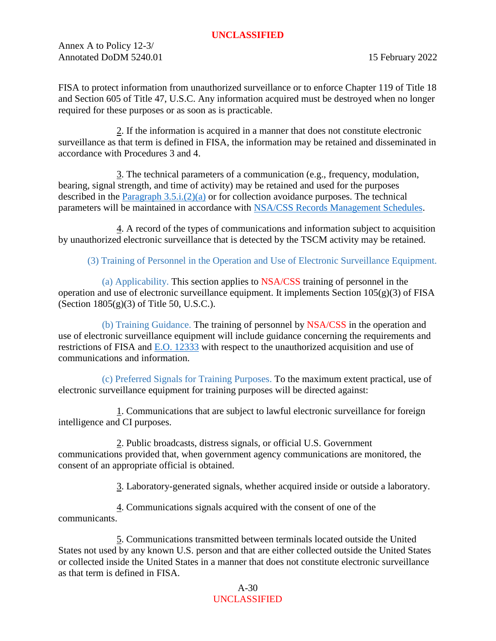Annex A to Policy 12-3/ Annotated DoDM 5240.01 15 February 2022

FISA to protect information from unauthorized surveillance or to enforce Chapter 119 of Title 18 and Section 605 of Title 47, U.S.C. Any information acquired must be destroyed when no longer required for these purposes or as soon as is practicable.

2. If the information is acquired in a manner that does not constitute electronic surveillance as that term is defined in FISA, the information may be retained and disseminated in accordance with Procedures 3 and 4.

3. The technical parameters of a communication (e.g., frequency, modulation, bearing, signal strength, and time of activity) may be retained and used for the purposes described in the Paragraph  $3.5.i.(2)(a)$  or for collection avoidance purposes. The technical parameters will be maintained in accordance with NSA/CSS [Records Management Schedules.](https://siteworks.web.nsa.ic.gov/p134/records-disposition-schedules/#i209870_tab1)

4. A record of the types of communications and information subject to acquisition by unauthorized electronic surveillance that is detected by the TSCM activity may be retained.

(3) Training of Personnel in the Operation and Use of Electronic Surveillance Equipment.

(a) Applicability. This section applies to NSA/CSS training of personnel in the operation and use of electronic surveillance equipment. It implements Section  $105(g)(3)$  of FISA (Section  $1805(g)(3)$  of Title 50, U.S.C.).

(b) Training Guidance. The training of personnel by NSA/CSS in the operation and use of electronic surveillance equipment will include guidance concerning the requirements and restrictions of FISA and [E.O. 12333](https://siteworks.web.nsa.ic.gov/p12/files/exec_orders/amended12333.pdf) with respect to the unauthorized acquisition and use of communications and information.

<span id="page-29-0"></span>(c) Preferred Signals for Training Purposes. To the maximum extent practical, use of electronic surveillance equipment for training purposes will be directed against:

1. Communications that are subject to lawful electronic surveillance for foreign intelligence and CI purposes.

2. Public broadcasts, distress signals, or official U.S. Government communications provided that, when government agency communications are monitored, the consent of an appropriate official is obtained.

3. Laboratory-generated signals, whether acquired inside or outside a laboratory.

4. Communications signals acquired with the consent of one of the communicants.

5. Communications transmitted between terminals located outside the United States not used by any known U.S. person and that are either collected outside the United States or collected inside the United States in a manner that does not constitute electronic surveillance as that term is defined in FISA.

> A-30 UNCLASSIFIED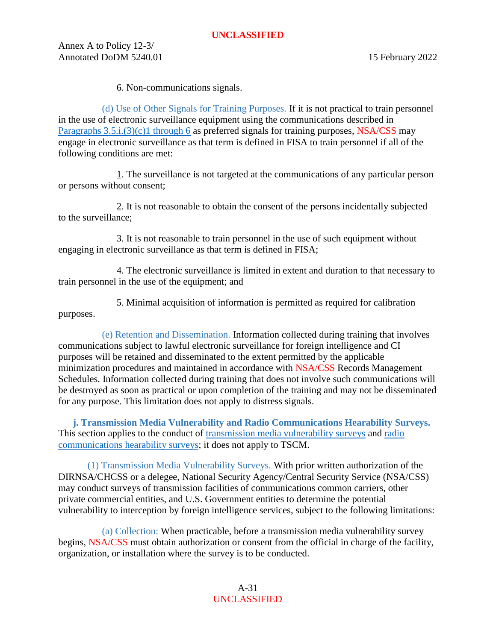Annex A to Policy 12-3/ Annotated DoDM 5240.01 15 February 2022

6. Non-communications signals.

(d) Use of Other Signals for Training Purposes. If it is not practical to train personnel in the use of electronic surveillance equipment using the communications described in Paragraphs  $3.5.i.(3)(c)1$  through 6 as preferred signals for training purposes, NSA/CSS may engage in electronic surveillance as that term is defined in FISA to train personnel if all of the following conditions are met:

1. The surveillance is not targeted at the communications of any particular person or persons without consent;

2. It is not reasonable to obtain the consent of the persons incidentally subjected to the surveillance;

3. It is not reasonable to train personnel in the use of such equipment without engaging in electronic surveillance as that term is defined in FISA;

4. The electronic surveillance is limited in extent and duration to that necessary to train personnel in the use of the equipment; and

5. Minimal acquisition of information is permitted as required for calibration purposes.

(e) Retention and Dissemination. Information collected during training that involves communications subject to lawful electronic surveillance for foreign intelligence and CI purposes will be retained and disseminated to the extent permitted by the applicable minimization procedures and maintained in accordance with NSA/CSS Records Management Schedules. Information collected during training that does not involve such communications will be destroyed as soon as practical or upon completion of the training and may not be disseminated for any purpose. This limitation does not apply to distress signals.

<span id="page-30-0"></span>**j. Transmission Media Vulnerability and Radio Communications Hearability Surveys.** This section applies to the conduct of [transmission media vulnerability](#page-54-6) surveys and [radio](#page-54-7)  [communications hearability surveys;](#page-54-7) it does not apply to TSCM.

(1) Transmission Media Vulnerability Surveys. With prior written authorization of the DIRNSA/CHCSS or a delegee, National Security Agency/Central Security Service (NSA/CSS) may conduct surveys of transmission facilities of communications common carriers, other private commercial entities, and U.S. Government entities to determine the potential vulnerability to interception by foreign intelligence services, subject to the following limitations:

(a) Collection: When practicable, before a transmission media vulnerability survey begins, NSA/CSS must obtain authorization or consent from the official in charge of the facility, organization, or installation where the survey is to be conducted.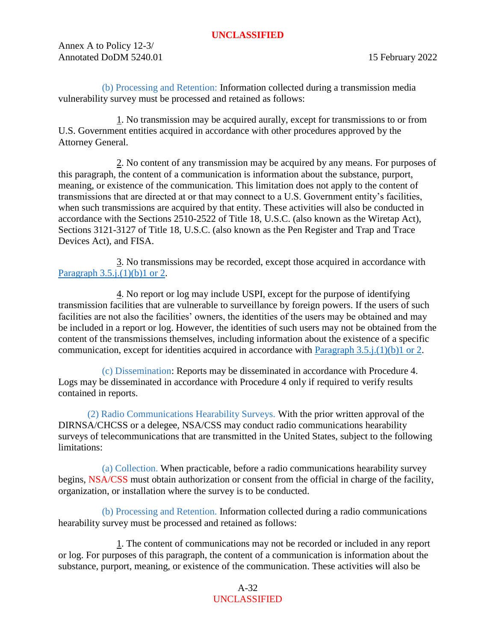Annex A to Policy 12-3/ Annotated DoDM 5240.01 15 February 2022

<span id="page-31-0"></span>(b) Processing and Retention: Information collected during a transmission media vulnerability survey must be processed and retained as follows:

1. No transmission may be acquired aurally, except for transmissions to or from U.S. Government entities acquired in accordance with other procedures approved by the Attorney General.

2. No content of any transmission may be acquired by any means. For purposes of this paragraph, the content of a communication is information about the substance, purport, meaning, or existence of the communication. This limitation does not apply to the content of transmissions that are directed at or that may connect to a U.S. Government entity's facilities, when such transmissions are acquired by that entity. These activities will also be conducted in accordance with the Sections 2510-2522 of Title 18, U.S.C. (also known as the Wiretap Act), Sections 3121-3127 of Title 18, U.S.C. (also known as the Pen Register and Trap and Trace Devices Act), and FISA.

3. No transmissions may be recorded, except those acquired in accordance with Paragraph  $3.5.i.(1)(b)1$  or 2.

4. No report or log may include USPI, except for the purpose of identifying transmission facilities that are vulnerable to surveillance by foreign powers. If the users of such facilities are not also the facilities' owners, the identities of the users may be obtained and may be included in a report or log. However, the identities of such users may not be obtained from the content of the transmissions themselves, including information about the existence of a specific communication, except for identities acquired in accordance with [Paragraph 3.5.j.\(1\)\(b\)1 or 2.](#page-31-0)

(c) Dissemination: Reports may be disseminated in accordance with Procedure 4. Logs may be disseminated in accordance with Procedure 4 only if required to verify results contained in reports.

(2) Radio Communications Hearability Surveys. With the prior written approval of the DIRNSA/CHCSS or a delegee, NSA/CSS may conduct radio communications hearability surveys of telecommunications that are transmitted in the United States, subject to the following limitations:

(a) Collection. When practicable, before a radio communications hearability survey begins, NSA/CSS must obtain authorization or consent from the official in charge of the facility, organization, or installation where the survey is to be conducted.

(b) Processing and Retention. Information collected during a radio communications hearability survey must be processed and retained as follows:

1. The content of communications may not be recorded or included in any report or log. For purposes of this paragraph, the content of a communication is information about the substance, purport, meaning, or existence of the communication. These activities will also be

> A-32 UNCLASSIFIED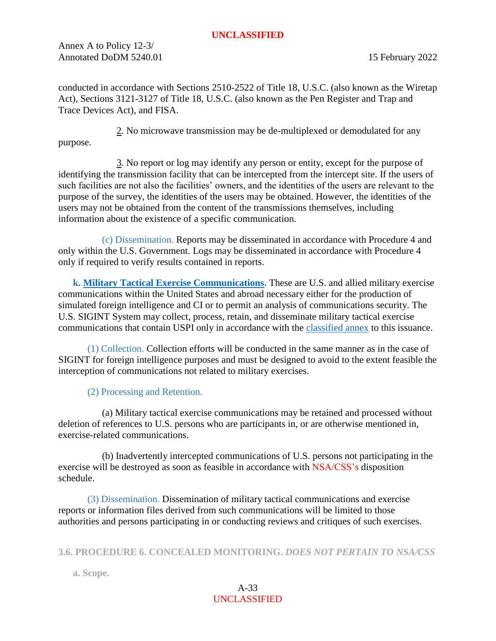Annex A to Policy 12-3/ Annotated DoDM 5240.01 15 February 2022

conducted in accordance with Sections 2510-2522 of Title 18, U.S.C. (also known as the Wiretap Act), Sections 3121-3127 of Title 18, U.S.C. (also known as the Pen Register and Trap and Trace Devices Act), and FISA.

2. No microwave transmission may be de-multiplexed or demodulated for any purpose.

3. No report or log may identify any person or entity, except for the purpose of identifying the transmission facility that can be intercepted from the intercept site. If the users of such facilities are not also the facilities' owners, and the identities of the users are relevant to the purpose of the survey, the identities of the users may be obtained. However, the identities of the users may not be obtained from the content of the transmissions themselves, including information about the existence of a specific communication.

(c) Dissemination. Reports may be disseminated in accordance with Procedure 4 and only within the U.S. Government. Logs may be disseminated in accordance with Procedure 4 only if required to verify results contained in reports.

<span id="page-32-0"></span>**k. [Military Tactical Exercise Communications.](https://siteworks.web.nsa.ic.gov/p61/plans-and-exercises-p613/)** These are U.S. and allied military exercise communications within the United States and abroad necessary either for the production of simulated foreign intelligence and CI or to permit an analysis of communications security. The U.S. SIGINT System may collect, process, retain, and disseminate military tactical exercise communications that contain USPI only in accordance with the **classified annex** to this issuance.

(1) Collection. Collection efforts will be conducted in the same manner as in the case of SIGINT for foreign intelligence purposes and must be designed to avoid to the extent feasible the interception of communications not related to military exercises.

(2) Processing and Retention.

(a) Military tactical exercise communications may be retained and processed without deletion of references to U.S. persons who are participants in, or are otherwise mentioned in, exercise-related communications.

(b) Inadvertently intercepted communications of U.S. persons not participating in the exercise will be destroyed as soon as feasible in accordance with NSA/CSS's disposition schedule.

(3) Dissemination. Dissemination of military tactical communications and exercise reports or information files derived from such communications will be limited to those authorities and persons participating in or conducting reviews and critiques of such exercises.

# <span id="page-32-1"></span>**3.6. PROCEDURE 6. CONCEALED MONITORING.** *DOES NOT PERTAIN TO NSA/CSS*

<span id="page-32-2"></span>**a. Scope.**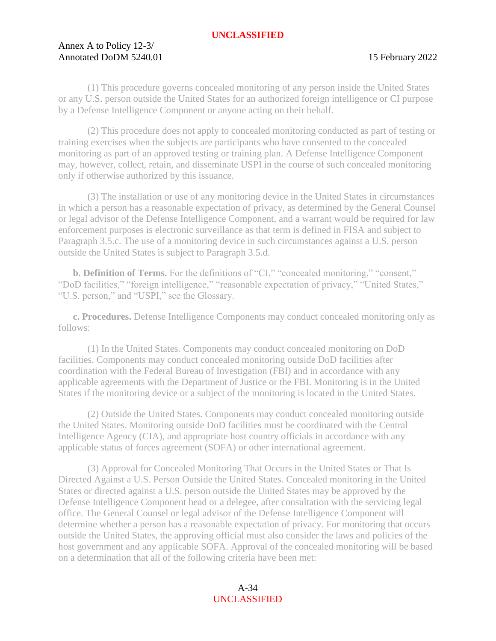# Annex A to Policy 12-3/ Annotated DoDM 5240.01 15 February 2022

(1) This procedure governs concealed monitoring of any person inside the United States or any U.S. person outside the United States for an authorized foreign intelligence or CI purpose by a Defense Intelligence Component or anyone acting on their behalf.

(2) This procedure does not apply to concealed monitoring conducted as part of testing or training exercises when the subjects are participants who have consented to the concealed monitoring as part of an approved testing or training plan. A Defense Intelligence Component may, however, collect, retain, and disseminate USPI in the course of such concealed monitoring only if otherwise authorized by this issuance.

(3) The installation or use of any monitoring device in the United States in circumstances in which a person has a reasonable expectation of privacy, as determined by the General Counsel or legal advisor of the Defense Intelligence Component, and a warrant would be required for law enforcement purposes is electronic surveillance as that term is defined in FISA and subject to Paragraph 3.5.c. The use of a monitoring device in such circumstances against a U.S. person outside the United States is subject to Paragraph 3.5.d.

<span id="page-33-0"></span>**b. Definition of Terms.** For the definitions of "CI," "concealed monitoring," "consent," "DoD facilities," "foreign intelligence," "reasonable expectation of privacy," "United States," "U.S. person," and "USPI," see the Glossary.

<span id="page-33-1"></span>**c. Procedures.** Defense Intelligence Components may conduct concealed monitoring only as follows:

(1) In the United States. Components may conduct concealed monitoring on DoD facilities. Components may conduct concealed monitoring outside DoD facilities after coordination with the Federal Bureau of Investigation (FBI) and in accordance with any applicable agreements with the Department of Justice or the FBI. Monitoring is in the United States if the monitoring device or a subject of the monitoring is located in the United States.

(2) Outside the United States. Components may conduct concealed monitoring outside the United States. Monitoring outside DoD facilities must be coordinated with the Central Intelligence Agency (CIA), and appropriate host country officials in accordance with any applicable status of forces agreement (SOFA) or other international agreement.

(3) Approval for Concealed Monitoring That Occurs in the United States or That Is Directed Against a U.S. Person Outside the United States. Concealed monitoring in the United States or directed against a U.S. person outside the United States may be approved by the Defense Intelligence Component head or a delegee, after consultation with the servicing legal office. The General Counsel or legal advisor of the Defense Intelligence Component will determine whether a person has a reasonable expectation of privacy. For monitoring that occurs outside the United States, the approving official must also consider the laws and policies of the host government and any applicable SOFA. Approval of the concealed monitoring will be based on a determination that all of the following criteria have been met:

> A-34 UNCLASSIFIED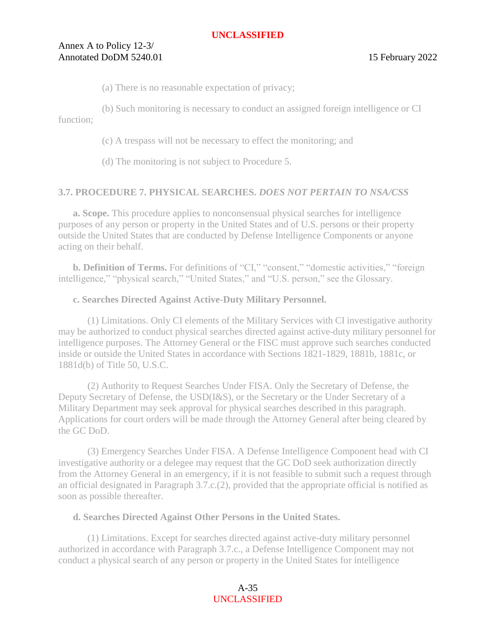# Annex A to Policy 12-3/ Annotated DoDM 5240.01 15 February 2022

(a) There is no reasonable expectation of privacy;

(b) Such monitoring is necessary to conduct an assigned foreign intelligence or CI function;

(c) A trespass will not be necessary to effect the monitoring; and

(d) The monitoring is not subject to Procedure 5.

# <span id="page-34-0"></span>**3.7. PROCEDURE 7. PHYSICAL SEARCHES.** *DOES NOT PERTAIN TO NSA/CSS*

<span id="page-34-1"></span>**a. Scope.** This procedure applies to nonconsensual physical searches for intelligence purposes of any person or property in the United States and of U.S. persons or their property outside the United States that are conducted by Defense Intelligence Components or anyone acting on their behalf.

<span id="page-34-2"></span>**b. Definition of Terms.** For definitions of "CI," "consent," "domestic activities," "foreign intelligence," "physical search," "United States," and "U.S. person," see the Glossary.

#### <span id="page-34-3"></span>**c. Searches Directed Against Active-Duty Military Personnel.**

(1) Limitations. Only CI elements of the Military Services with CI investigative authority may be authorized to conduct physical searches directed against active-duty military personnel for intelligence purposes. The Attorney General or the FISC must approve such searches conducted inside or outside the United States in accordance with Sections 1821-1829, 1881b, 1881c, or 1881d(b) of Title 50, U.S.C.

(2) Authority to Request Searches Under FISA. Only the Secretary of Defense, the Deputy Secretary of Defense, the USD(I&S), or the Secretary or the Under Secretary of a Military Department may seek approval for physical searches described in this paragraph. Applications for court orders will be made through the Attorney General after being cleared by the GC DoD.

(3) Emergency Searches Under FISA. A Defense Intelligence Component head with CI investigative authority or a delegee may request that the GC DoD seek authorization directly from the Attorney General in an emergency, if it is not feasible to submit such a request through an official designated in Paragraph 3.7.c.(2), provided that the appropriate official is notified as soon as possible thereafter.

#### <span id="page-34-4"></span>**d. Searches Directed Against Other Persons in the United States.**

(1) Limitations. Except for searches directed against active-duty military personnel authorized in accordance with Paragraph 3.7.c., a Defense Intelligence Component may not conduct a physical search of any person or property in the United States for intelligence

> A-35 UNCLASSIFIED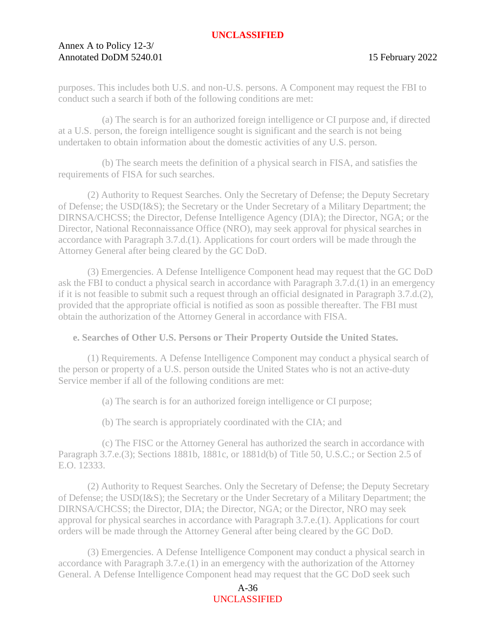# Annex A to Policy 12-3/ Annotated DoDM 5240.01 15 February 2022

purposes. This includes both U.S. and non-U.S. persons. A Component may request the FBI to conduct such a search if both of the following conditions are met:

(a) The search is for an authorized foreign intelligence or CI purpose and, if directed at a U.S. person, the foreign intelligence sought is significant and the search is not being undertaken to obtain information about the domestic activities of any U.S. person.

(b) The search meets the definition of a physical search in FISA, and satisfies the requirements of FISA for such searches.

(2) Authority to Request Searches. Only the Secretary of Defense; the Deputy Secretary of Defense; the USD(I&S); the Secretary or the Under Secretary of a Military Department; the DIRNSA/CHCSS; the Director, Defense Intelligence Agency (DIA); the Director, NGA; or the Director, National Reconnaissance Office (NRO), may seek approval for physical searches in accordance with Paragraph 3.7.d.(1). Applications for court orders will be made through the Attorney General after being cleared by the GC DoD.

(3) Emergencies. A Defense Intelligence Component head may request that the GC DoD ask the FBI to conduct a physical search in accordance with Paragraph 3.7.d.(1) in an emergency if it is not feasible to submit such a request through an official designated in Paragraph 3.7.d.(2), provided that the appropriate official is notified as soon as possible thereafter. The FBI must obtain the authorization of the Attorney General in accordance with FISA.

# <span id="page-35-0"></span>**e. Searches of Other U.S. Persons or Their Property Outside the United States.**

(1) Requirements. A Defense Intelligence Component may conduct a physical search of the person or property of a U.S. person outside the United States who is not an active-duty Service member if all of the following conditions are met:

(a) The search is for an authorized foreign intelligence or CI purpose;

(b) The search is appropriately coordinated with the CIA; and

(c) The FISC or the Attorney General has authorized the search in accordance with Paragraph 3.7.e.(3); Sections 1881b, 1881c, or 1881d(b) of Title 50, U.S.C.; or Section 2.5 of E.O. 12333.

(2) Authority to Request Searches. Only the Secretary of Defense; the Deputy Secretary of Defense; the USD(I&S); the Secretary or the Under Secretary of a Military Department; the DIRNSA/CHCSS; the Director, DIA; the Director, NGA; or the Director, NRO may seek approval for physical searches in accordance with Paragraph 3.7.e.(1). Applications for court orders will be made through the Attorney General after being cleared by the GC DoD.

(3) Emergencies. A Defense Intelligence Component may conduct a physical search in accordance with Paragraph 3.7.e.(1) in an emergency with the authorization of the Attorney General. A Defense Intelligence Component head may request that the GC DoD seek such

> A-36 UNCLASSIFIED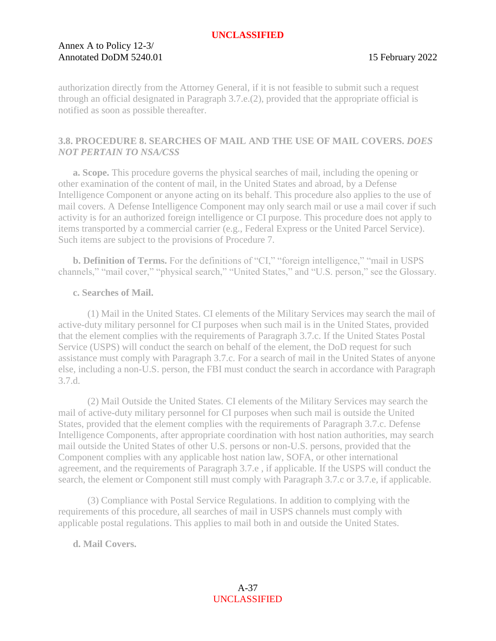# Annex A to Policy 12-3/ Annotated DoDM 5240.01 15 February 2022

authorization directly from the Attorney General, if it is not feasible to submit such a request through an official designated in Paragraph 3.7.e.(2), provided that the appropriate official is notified as soon as possible thereafter.

# <span id="page-36-0"></span>**3.8. PROCEDURE 8. SEARCHES OF MAIL AND THE USE OF MAIL COVERS.** *DOES NOT PERTAIN TO NSA/CSS*

<span id="page-36-1"></span>**a. Scope.** This procedure governs the physical searches of mail, including the opening or other examination of the content of mail, in the United States and abroad, by a Defense Intelligence Component or anyone acting on its behalf. This procedure also applies to the use of mail covers. A Defense Intelligence Component may only search mail or use a mail cover if such activity is for an authorized foreign intelligence or CI purpose. This procedure does not apply to items transported by a commercial carrier (e.g., Federal Express or the United Parcel Service). Such items are subject to the provisions of Procedure 7.

<span id="page-36-2"></span>**b. Definition of Terms.** For the definitions of "CI," "foreign intelligence," "mail in USPS channels," "mail cover," "physical search," "United States," and "U.S. person," see the Glossary.

# <span id="page-36-3"></span>**c. Searches of Mail.**

(1) Mail in the United States. CI elements of the Military Services may search the mail of active-duty military personnel for CI purposes when such mail is in the United States, provided that the element complies with the requirements of Paragraph 3.7.c. If the United States Postal Service (USPS) will conduct the search on behalf of the element, the DoD request for such assistance must comply with Paragraph 3.7.c. For a search of mail in the United States of anyone else, including a non-U.S. person, the FBI must conduct the search in accordance with Paragraph 3.7.d.

(2) Mail Outside the United States. CI elements of the Military Services may search the mail of active-duty military personnel for CI purposes when such mail is outside the United States, provided that the element complies with the requirements of Paragraph 3.7.c. Defense Intelligence Components, after appropriate coordination with host nation authorities, may search mail outside the United States of other U.S. persons or non-U.S. persons, provided that the Component complies with any applicable host nation law, SOFA, or other international agreement, and the requirements of Paragraph 3.7.e , if applicable. If the USPS will conduct the search, the element or Component still must comply with Paragraph 3.7.c or 3.7.e, if applicable.

(3) Compliance with Postal Service Regulations. In addition to complying with the requirements of this procedure, all searches of mail in USPS channels must comply with applicable postal regulations. This applies to mail both in and outside the United States.

# <span id="page-36-4"></span>**d. Mail Covers.**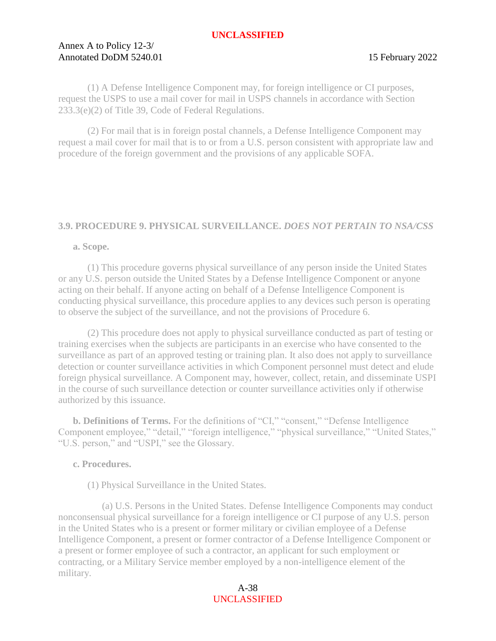# Annex A to Policy 12-3/ Annotated DoDM 5240.01 15 February 2022

(1) A Defense Intelligence Component may, for foreign intelligence or CI purposes, request the USPS to use a mail cover for mail in USPS channels in accordance with Section 233.3(e)(2) of Title 39, Code of Federal Regulations.

(2) For mail that is in foreign postal channels, a Defense Intelligence Component may request a mail cover for mail that is to or from a U.S. person consistent with appropriate law and procedure of the foreign government and the provisions of any applicable SOFA.

# <span id="page-37-0"></span>**3.9. PROCEDURE 9. PHYSICAL SURVEILLANCE.** *DOES NOT PERTAIN TO NSA/CSS*

#### <span id="page-37-1"></span>**a. Scope.**

(1) This procedure governs physical surveillance of any person inside the United States or any U.S. person outside the United States by a Defense Intelligence Component or anyone acting on their behalf. If anyone acting on behalf of a Defense Intelligence Component is conducting physical surveillance, this procedure applies to any devices such person is operating to observe the subject of the surveillance, and not the provisions of Procedure 6.

(2) This procedure does not apply to physical surveillance conducted as part of testing or training exercises when the subjects are participants in an exercise who have consented to the surveillance as part of an approved testing or training plan. It also does not apply to surveillance detection or counter surveillance activities in which Component personnel must detect and elude foreign physical surveillance. A Component may, however, collect, retain, and disseminate USPI in the course of such surveillance detection or counter surveillance activities only if otherwise authorized by this issuance.

<span id="page-37-2"></span>**b. Definitions of Terms.** For the definitions of "CI," "consent," "Defense Intelligence Component employee," "detail," "foreign intelligence," "physical surveillance," "United States," "U.S. person," and "USPI," see the Glossary.

# <span id="page-37-3"></span>**c. Procedures.**

(1) Physical Surveillance in the United States.

(a) U.S. Persons in the United States. Defense Intelligence Components may conduct nonconsensual physical surveillance for a foreign intelligence or CI purpose of any U.S. person in the United States who is a present or former military or civilian employee of a Defense Intelligence Component, a present or former contractor of a Defense Intelligence Component or a present or former employee of such a contractor, an applicant for such employment or contracting, or a Military Service member employed by a non-intelligence element of the military.

> A-38 UNCLASSIFIED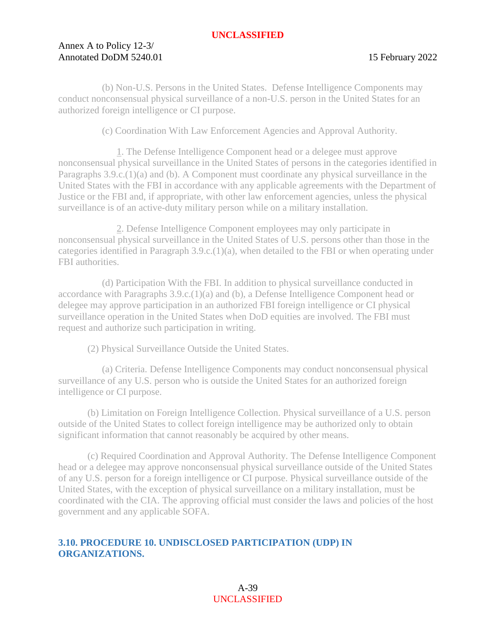# Annex A to Policy 12-3/ Annotated DoDM 5240.01 15 February 2022

(b) Non-U.S. Persons in the United States. Defense Intelligence Components may conduct nonconsensual physical surveillance of a non-U.S. person in the United States for an authorized foreign intelligence or CI purpose.

(c) Coordination With Law Enforcement Agencies and Approval Authority.

1. The Defense Intelligence Component head or a delegee must approve nonconsensual physical surveillance in the United States of persons in the categories identified in Paragraphs 3.9.c.(1)(a) and (b). A Component must coordinate any physical surveillance in the United States with the FBI in accordance with any applicable agreements with the Department of Justice or the FBI and, if appropriate, with other law enforcement agencies, unless the physical surveillance is of an active-duty military person while on a military installation.

2. Defense Intelligence Component employees may only participate in nonconsensual physical surveillance in the United States of U.S. persons other than those in the categories identified in Paragraph 3.9.c.(1)(a), when detailed to the FBI or when operating under FBI authorities.

(d) Participation With the FBI. In addition to physical surveillance conducted in accordance with Paragraphs 3.9.c.(1)(a) and (b), a Defense Intelligence Component head or delegee may approve participation in an authorized FBI foreign intelligence or CI physical surveillance operation in the United States when DoD equities are involved. The FBI must request and authorize such participation in writing.

(2) Physical Surveillance Outside the United States.

(a) Criteria. Defense Intelligence Components may conduct nonconsensual physical surveillance of any U.S. person who is outside the United States for an authorized foreign intelligence or CI purpose.

(b) Limitation on Foreign Intelligence Collection. Physical surveillance of a U.S. person outside of the United States to collect foreign intelligence may be authorized only to obtain significant information that cannot reasonably be acquired by other means.

(c) Required Coordination and Approval Authority. The Defense Intelligence Component head or a delegee may approve nonconsensual physical surveillance outside of the United States of any U.S. person for a foreign intelligence or CI purpose. Physical surveillance outside of the United States, with the exception of physical surveillance on a military installation, must be coordinated with the CIA. The approving official must consider the laws and policies of the host government and any applicable SOFA.

# <span id="page-38-0"></span>**3.10. PROCEDURE 10. UNDISCLOSED PARTICIPATION (UDP) IN ORGANIZATIONS.**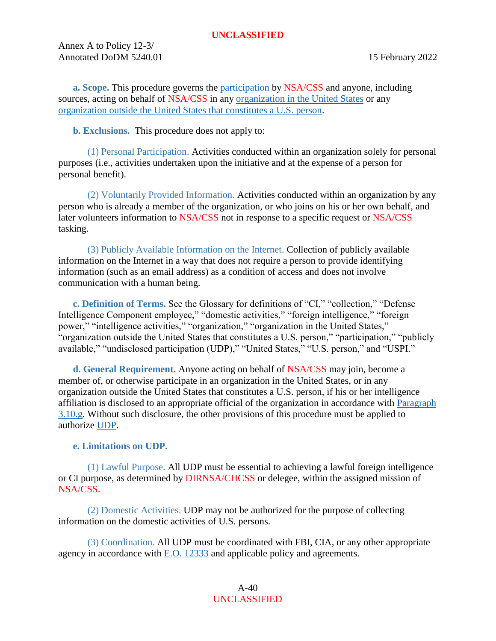Annex A to Policy 12-3/ Annotated DoDM 5240.01 15 February 2022

<span id="page-39-0"></span>**a. Scope.** This procedure governs the [participation](#page-52-1) by NSA/CSS and anyone, including sources, acting on behalf of NSA/CSS in any [organization in the United States](#page-52-2) or any [organization outside the United States that constitutes a U.S. person.](#page-52-3)

<span id="page-39-1"></span>**b. Exclusions.** This procedure does not apply to:

(1) Personal Participation. Activities conducted within an organization solely for personal purposes (i.e., activities undertaken upon the initiative and at the expense of a person for personal benefit).

(2) Voluntarily Provided Information. Activities conducted within an organization by any person who is already a member of the organization, or who joins on his or her own behalf, and later volunteers information to NSA/CSS not in response to a specific request or NSA/CSS tasking.

(3) Publicly Available Information on the Internet. Collection of publicly available information on the Internet in a way that does not require a person to provide identifying information (such as an email address) as a condition of access and does not involve communication with a human being.

<span id="page-39-2"></span>**c. Definition of Terms.** See the Glossary for definitions of "CI," "collection," "Defense Intelligence Component employee," "domestic activities," "foreign intelligence," "foreign power," "intelligence activities," "organization," "organization in the United States," "organization outside the United States that constitutes a U.S. person," "participation," "publicly available," "undisclosed participation (UDP)," "United States," "U.S. person," and "USPI."

<span id="page-39-3"></span>**d. General Requirement.** Anyone acting on behalf of NSA/CSS may join, become a member of, or otherwise participate in an organization in the United States, or in any organization outside the United States that constitutes a U.S. person, if his or her intelligence affiliation is disclosed to an appropriate official of the organization in accordance with [Paragraph](#page-43-3)  [3.10.g.](#page-43-3) Without such disclosure, the other provisions of this procedure must be applied to authorize [UDP.](#page-55-2)

# <span id="page-39-5"></span><span id="page-39-4"></span>**e. Limitations on UDP.**

(1) Lawful Purpose. All UDP must be essential to achieving a lawful foreign intelligence or CI purpose, as determined by DIRNSA/CHCSS or delegee, within the assigned mission of NSA/CSS.

(2) Domestic Activities. UDP may not be authorized for the purpose of collecting information on the domestic activities of U.S. persons.

(3) Coordination. All UDP must be coordinated with FBI, CIA, or any other appropriate agency in accordance with [E.O. 12333](https://siteworks.web.nsa.ic.gov/p12/files/exec_orders/amended12333.pdf) and applicable policy and agreements.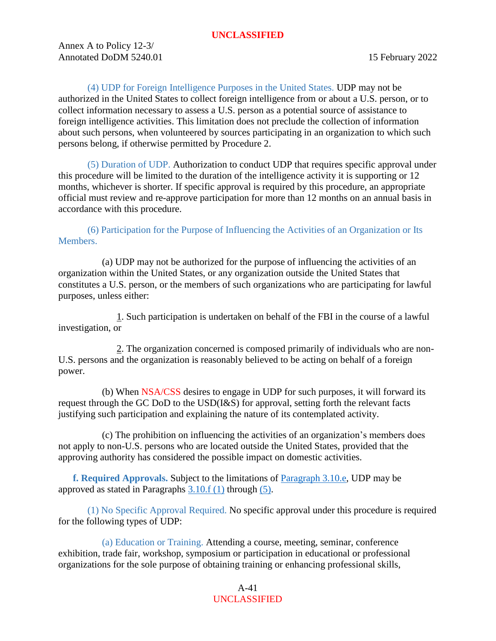Annex A to Policy 12-3/ Annotated DoDM 5240.01 15 February 2022

(4) UDP for Foreign Intelligence Purposes in the United States. UDP may not be authorized in the United States to collect foreign intelligence from or about a U.S. person, or to collect information necessary to assess a U.S. person as a potential source of assistance to foreign intelligence activities. This limitation does not preclude the collection of information about such persons, when volunteered by sources participating in an organization to which such persons belong, if otherwise permitted by Procedure 2.

(5) Duration of UDP. Authorization to conduct UDP that requires specific approval under this procedure will be limited to the duration of the intelligence activity it is supporting or 12 months, whichever is shorter. If specific approval is required by this procedure, an appropriate official must review and re-approve participation for more than 12 months on an annual basis in accordance with this procedure.

(6) Participation for the Purpose of Influencing the Activities of an Organization or Its Members.

(a) UDP may not be authorized for the purpose of influencing the activities of an organization within the United States, or any organization outside the United States that constitutes a U.S. person, or the members of such organizations who are participating for lawful purposes, unless either:

1. Such participation is undertaken on behalf of the FBI in the course of a lawful investigation, or

2. The organization concerned is composed primarily of individuals who are non-U.S. persons and the organization is reasonably believed to be acting on behalf of a foreign power.

(b) When NSA/CSS desires to engage in UDP for such purposes, it will forward its request through the GC DoD to the USD(I&S) for approval, setting forth the relevant facts justifying such participation and explaining the nature of its contemplated activity.

(c) The prohibition on influencing the activities of an organization's members does not apply to non-U.S. persons who are located outside the United States, provided that the approving authority has considered the possible impact on domestic activities.

<span id="page-40-2"></span><span id="page-40-0"></span>**f. Required Approvals.** Subject to the limitations of [Paragraph 3.10.e,](#page-39-5) UDP may be approved as stated in Paragraphs  $3.10.f(1)$  through [\(5\).](#page-42-0)

<span id="page-40-1"></span>(1) No Specific Approval Required. No specific approval under this procedure is required for the following types of UDP:

(a) Education or Training. Attending a course, meeting, seminar, conference exhibition, trade fair, workshop, symposium or participation in educational or professional organizations for the sole purpose of obtaining training or enhancing professional skills,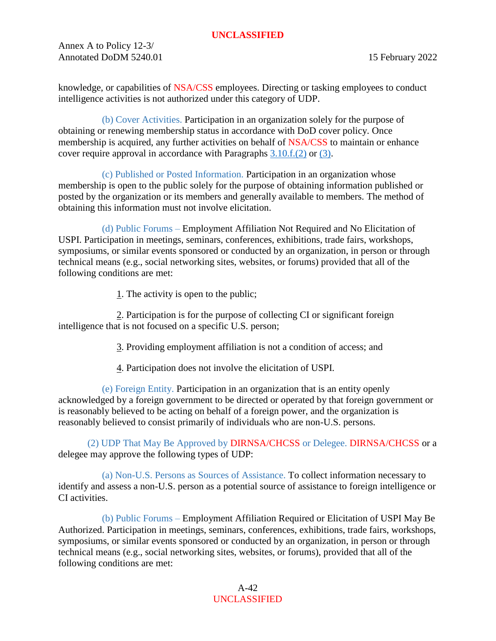Annex A to Policy 12-3/ Annotated DoDM 5240.01 15 February 2022

knowledge, or capabilities of NSA/CSS employees. Directing or tasking employees to conduct intelligence activities is not authorized under this category of UDP.

(b) Cover Activities. Participation in an organization solely for the purpose of obtaining or renewing membership status in accordance with DoD cover policy. Once membership is acquired, any further activities on behalf of NSA/CSS to maintain or enhance cover require approval in accordance with Paragraphs [3.10.f.\(2\)](#page-41-0) or [\(3\).](#page-42-1)

(c) Published or Posted Information. Participation in an organization whose membership is open to the public solely for the purpose of obtaining information published or posted by the organization or its members and generally available to members. The method of obtaining this information must not involve elicitation.

(d) Public Forums – Employment Affiliation Not Required and No Elicitation of USPI. Participation in meetings, seminars, conferences, exhibitions, trade fairs, workshops, symposiums, or similar events sponsored or conducted by an organization, in person or through technical means (e.g., social networking sites, websites, or forums) provided that all of the following conditions are met:

1. The activity is open to the public;

2. Participation is for the purpose of collecting CI or significant foreign intelligence that is not focused on a specific U.S. person;

3. Providing employment affiliation is not a condition of access; and

4. Participation does not involve the elicitation of USPI.

(e) Foreign Entity. Participation in an organization that is an entity openly acknowledged by a foreign government to be directed or operated by that foreign government or is reasonably believed to be acting on behalf of a foreign power, and the organization is reasonably believed to consist primarily of individuals who are non-U.S. persons.

<span id="page-41-0"></span>(2) UDP That May Be Approved by DIRNSA/CHCSS or Delegee. DIRNSA/CHCSS or a delegee may approve the following types of UDP:

(a) Non-U.S. Persons as Sources of Assistance. To collect information necessary to identify and assess a non-U.S. person as a potential source of assistance to foreign intelligence or CI activities.

(b) Public Forums – Employment Affiliation Required or Elicitation of USPI May Be Authorized. Participation in meetings, seminars, conferences, exhibitions, trade fairs, workshops, symposiums, or similar events sponsored or conducted by an organization, in person or through technical means (e.g., social networking sites, websites, or forums), provided that all of the following conditions are met: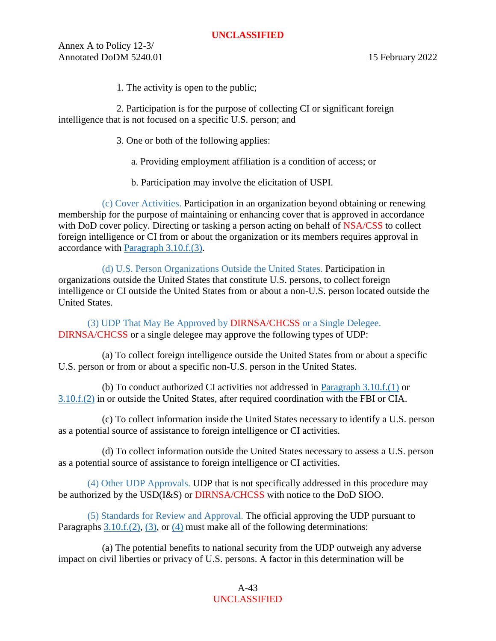Annex A to Policy 12-3/ Annotated DoDM 5240.01 15 February 2022

1. The activity is open to the public;

2. Participation is for the purpose of collecting CI or significant foreign intelligence that is not focused on a specific U.S. person; and

- 3. One or both of the following applies:
	- a. Providing employment affiliation is a condition of access; or
	- b. Participation may involve the elicitation of USPI.

(c) Cover Activities. Participation in an organization beyond obtaining or renewing membership for the purpose of maintaining or enhancing cover that is approved in accordance with DoD cover policy. Directing or tasking a person acting on behalf of NSA/CSS to collect foreign intelligence or CI from or about the organization or its members requires approval in accordance with [Paragraph 3.10.f.\(3\).](#page-42-1)

(d) U.S. Person Organizations Outside the United States. Participation in organizations outside the United States that constitute U.S. persons, to collect foreign intelligence or CI outside the United States from or about a non-U.S. person located outside the United States.

<span id="page-42-1"></span>(3) UDP That May Be Approved by DIRNSA/CHCSS or a Single Delegee. DIRNSA/CHCSS or a single delegee may approve the following types of UDP:

(a) To collect foreign intelligence outside the United States from or about a specific U.S. person or from or about a specific non-U.S. person in the United States.

(b) To conduct authorized CI activities not addressed in [Paragraph 3.10.f.\(1\)](#page-40-1) or [3.10.f.\(2\)](#page-41-0) in or outside the United States, after required coordination with the FBI or CIA.

(c) To collect information inside the United States necessary to identify a U.S. person as a potential source of assistance to foreign intelligence or CI activities.

(d) To collect information outside the United States necessary to assess a U.S. person as a potential source of assistance to foreign intelligence or CI activities.

<span id="page-42-2"></span>(4) Other UDP Approvals. UDP that is not specifically addressed in this procedure may be authorized by the USD(I&S) or DIRNSA/CHCSS with notice to the DoD SIOO.

<span id="page-42-0"></span>(5) Standards for Review and Approval. The official approving the UDP pursuant to Paragraphs  $3.10.f.(2)$ ,  $(3)$ , or  $(4)$  must make all of the following determinations:

(a) The potential benefits to national security from the UDP outweigh any adverse impact on civil liberties or privacy of U.S. persons. A factor in this determination will be

> A-43 UNCLASSIFIED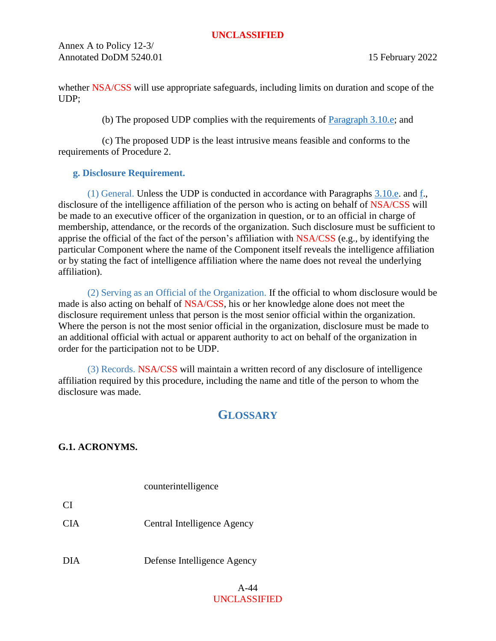Annex A to Policy 12-3/ Annotated DoDM 5240.01 15 February 2022

whether NSA/CSS will use appropriate safeguards, including limits on duration and scope of the UDP;

(b) The proposed UDP complies with the requirements of  $\frac{P\{2\}}{P\{2\}}$  and

(c) The proposed UDP is the least intrusive means feasible and conforms to the requirements of Procedure 2.

# <span id="page-43-3"></span><span id="page-43-0"></span>**g. Disclosure Requirement.**

(1) General. Unless the UDP is conducted in accordance with Paragraphs [3.10.e.](#page-39-5) and [f.](#page-40-2), disclosure of the intelligence affiliation of the person who is acting on behalf of NSA/CSS will be made to an executive officer of the organization in question, or to an official in charge of membership, attendance, or the records of the organization. Such disclosure must be sufficient to apprise the official of the fact of the person's affiliation with NSA/CSS (e.g., by identifying the particular Component where the name of the Component itself reveals the intelligence affiliation or by stating the fact of intelligence affiliation where the name does not reveal the underlying affiliation).

(2) Serving as an Official of the Organization. If the official to whom disclosure would be made is also acting on behalf of NSA/CSS, his or her knowledge alone does not meet the disclosure requirement unless that person is the most senior official within the organization. Where the person is not the most senior official in the organization, disclosure must be made to an additional official with actual or apparent authority to act on behalf of the organization in order for the participation not to be UDP.

(3) Records. NSA/CSS will maintain a written record of any disclosure of intelligence affiliation required by this procedure, including the name and title of the person to whom the disclosure was made.

# **GLOSSARY**

<span id="page-43-2"></span><span id="page-43-1"></span>**G.1. ACRONYMS.**

 $CI$ 

counterintelligence

CIA Central Intelligence Agency

DIA Defense Intelligence Agency

#### A-44 UNCLASSIFIED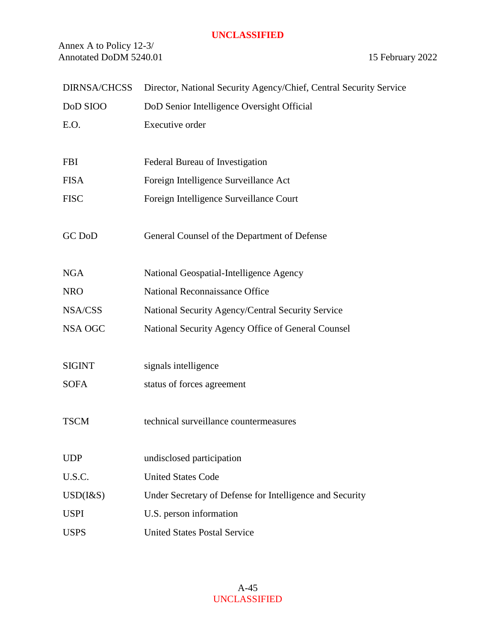Annex A to Policy 12-3/ Annotated DoDM 5240.01 15 February 2022

| <b>DIRNSA/CHCSS</b> | Director, National Security Agency/Chief, Central Security Service |
|---------------------|--------------------------------------------------------------------|
| DoD SIOO            | DoD Senior Intelligence Oversight Official                         |
| E.O.                | Executive order                                                    |
|                     |                                                                    |
| <b>FBI</b>          | Federal Bureau of Investigation                                    |
| <b>FISA</b>         | Foreign Intelligence Surveillance Act                              |
| <b>FISC</b>         | Foreign Intelligence Surveillance Court                            |
|                     |                                                                    |
| <b>GC DoD</b>       | General Counsel of the Department of Defense                       |
|                     |                                                                    |
| <b>NGA</b>          | National Geospatial-Intelligence Agency                            |
| <b>NRO</b>          | National Reconnaissance Office                                     |
| NSA/CSS             | National Security Agency/Central Security Service                  |
| NSA OGC             | National Security Agency Office of General Counsel                 |
|                     |                                                                    |
| <b>SIGINT</b>       | signals intelligence                                               |
| <b>SOFA</b>         | status of forces agreement                                         |
|                     |                                                                    |
| <b>TSCM</b>         | technical surveillance countermeasures                             |
|                     |                                                                    |
| <b>UDP</b>          | undisclosed participation                                          |
| U.S.C.              | <b>United States Code</b>                                          |
| $USD$ ( $1&$ S)     | Under Secretary of Defense for Intelligence and Security           |
| <b>USPI</b>         | U.S. person information                                            |
| <b>USPS</b>         | <b>United States Postal Service</b>                                |
|                     |                                                                    |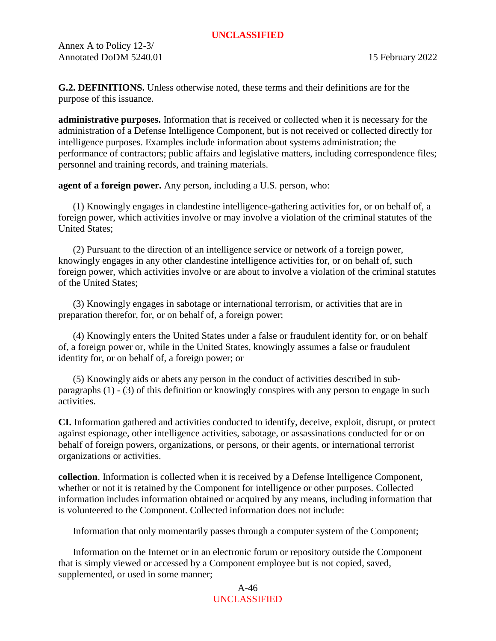<span id="page-45-0"></span>**G.2. DEFINITIONS.** Unless otherwise noted, these terms and their definitions are for the purpose of this issuance.

<span id="page-45-4"></span>**administrative purposes.** Information that is received or collected when it is necessary for the administration of a Defense Intelligence Component, but is not received or collected directly for intelligence purposes. Examples include information about systems administration; the performance of contractors; public affairs and legislative matters, including correspondence files; personnel and training records, and training materials.

<span id="page-45-3"></span>**agent of a foreign power.** Any person, including a U.S. person, who:

(1) Knowingly engages in clandestine intelligence-gathering activities for, or on behalf of, a foreign power, which activities involve or may involve a violation of the criminal statutes of the United States;

(2) Pursuant to the direction of an intelligence service or network of a foreign power, knowingly engages in any other clandestine intelligence activities for, or on behalf of, such foreign power, which activities involve or are about to involve a violation of the criminal statutes of the United States;

(3) Knowingly engages in sabotage or international terrorism, or activities that are in preparation therefor, for, or on behalf of, a foreign power;

(4) Knowingly enters the United States under a false or fraudulent identity for, or on behalf of, a foreign power or, while in the United States, knowingly assumes a false or fraudulent identity for, or on behalf of, a foreign power; or

(5) Knowingly aids or abets any person in the conduct of activities described in subparagraphs (1) - (3) of this definition or knowingly conspires with any person to engage in such activities.

<span id="page-45-2"></span>**CI.** Information gathered and activities conducted to identify, deceive, exploit, disrupt, or protect against espionage, other intelligence activities, sabotage, or assassinations conducted for or on behalf of foreign powers, organizations, or persons, or their agents, or international terrorist organizations or activities.

<span id="page-45-1"></span>**collection**. Information is collected when it is received by a Defense Intelligence Component, whether or not it is retained by the Component for intelligence or other purposes. Collected information includes information obtained or acquired by any means, including information that is volunteered to the Component. Collected information does not include:

Information that only momentarily passes through a computer system of the Component;

Information on the Internet or in an electronic forum or repository outside the Component that is simply viewed or accessed by a Component employee but is not copied, saved, supplemented, or used in some manner;

> A-46 UNCLASSIFIED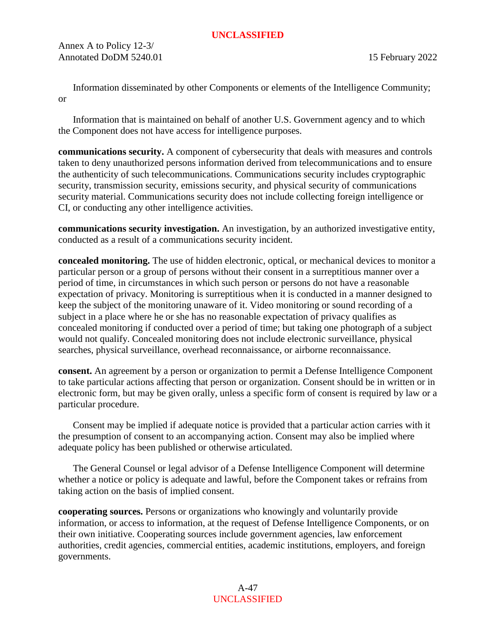Annex A to Policy 12-3/ Annotated DoDM 5240.01 15 February 2022

Information disseminated by other Components or elements of the Intelligence Community; or

Information that is maintained on behalf of another U.S. Government agency and to which the Component does not have access for intelligence purposes.

**communications security.** A component of cybersecurity that deals with measures and controls taken to deny unauthorized persons information derived from telecommunications and to ensure the authenticity of such telecommunications. Communications security includes cryptographic security, transmission security, emissions security, and physical security of communications security material. Communications security does not include collecting foreign intelligence or CI, or conducting any other intelligence activities.

<span id="page-46-1"></span>**communications security investigation.** An investigation, by an authorized investigative entity, conducted as a result of a communications security incident.

**concealed monitoring.** The use of hidden electronic, optical, or mechanical devices to monitor a particular person or a group of persons without their consent in a surreptitious manner over a period of time, in circumstances in which such person or persons do not have a reasonable expectation of privacy. Monitoring is surreptitious when it is conducted in a manner designed to keep the subject of the monitoring unaware of it. Video monitoring or sound recording of a subject in a place where he or she has no reasonable expectation of privacy qualifies as concealed monitoring if conducted over a period of time; but taking one photograph of a subject would not qualify. Concealed monitoring does not include electronic surveillance, physical searches, physical surveillance, overhead reconnaissance, or airborne reconnaissance.

<span id="page-46-0"></span>**consent.** An agreement by a person or organization to permit a Defense Intelligence Component to take particular actions affecting that person or organization. Consent should be in written or in electronic form, but may be given orally, unless a specific form of consent is required by law or a particular procedure.

Consent may be implied if adequate notice is provided that a particular action carries with it the presumption of consent to an accompanying action. Consent may also be implied where adequate policy has been published or otherwise articulated.

The General Counsel or legal advisor of a Defense Intelligence Component will determine whether a notice or policy is adequate and lawful, before the Component takes or refrains from taking action on the basis of implied consent.

<span id="page-46-2"></span>**cooperating sources.** Persons or organizations who knowingly and voluntarily provide information, or access to information, at the request of Defense Intelligence Components, or on their own initiative. Cooperating sources include government agencies, law enforcement authorities, credit agencies, commercial entities, academic institutions, employers, and foreign governments.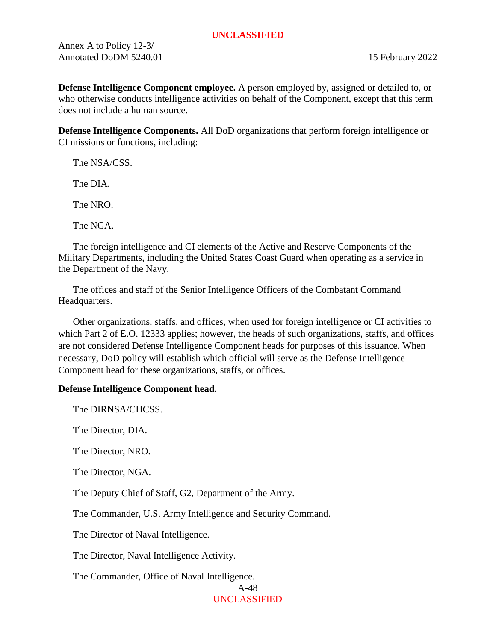Annex A to Policy 12-3/ Annotated DoDM 5240.01 15 February 2022

**Defense Intelligence Component employee.** A person employed by, assigned or detailed to, or who otherwise conducts intelligence activities on behalf of the Component, except that this term does not include a human source.

<span id="page-47-0"></span>**Defense Intelligence Components.** All DoD organizations that perform foreign intelligence or CI missions or functions, including:

The NSA/CSS.

The DIA.

The NRO.

The NGA.

The foreign intelligence and CI elements of the Active and Reserve Components of the Military Departments, including the United States Coast Guard when operating as a service in the Department of the Navy.

The offices and staff of the Senior Intelligence Officers of the Combatant Command Headquarters.

Other organizations, staffs, and offices, when used for foreign intelligence or CI activities to which Part 2 of E.O. 12333 applies; however, the heads of such organizations, staffs, and offices are not considered Defense Intelligence Component heads for purposes of this issuance. When necessary, DoD policy will establish which official will serve as the Defense Intelligence Component head for these organizations, staffs, or offices.

# **Defense Intelligence Component head.**

The DIRNSA/CHCSS.

The Director, DIA.

The Director, NRO.

The Director, NGA.

The Deputy Chief of Staff, G2, Department of the Army.

The Commander, U.S. Army Intelligence and Security Command.

The Director of Naval Intelligence.

The Director, Naval Intelligence Activity.

The Commander, Office of Naval Intelligence.

A-48 UNCLASSIFIED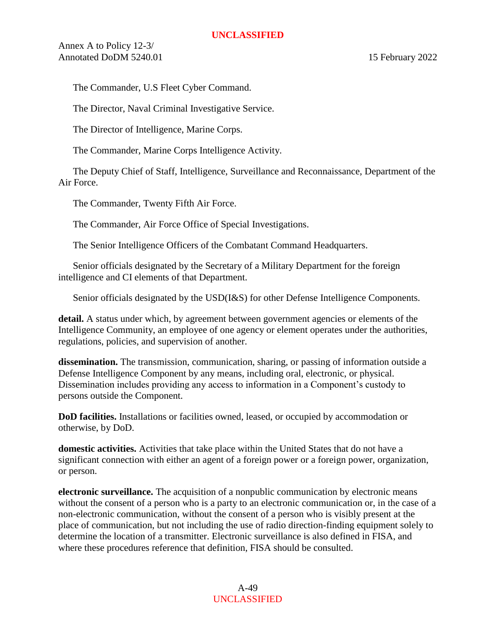Annex A to Policy 12-3/ Annotated DoDM 5240.01 15 February 2022

The Commander, U.S Fleet Cyber Command.

The Director, Naval Criminal Investigative Service.

The Director of Intelligence, Marine Corps.

The Commander, Marine Corps Intelligence Activity.

The Deputy Chief of Staff, Intelligence, Surveillance and Reconnaissance, Department of the Air Force.

The Commander, Twenty Fifth Air Force.

The Commander, Air Force Office of Special Investigations.

The Senior Intelligence Officers of the Combatant Command Headquarters.

Senior officials designated by the Secretary of a Military Department for the foreign intelligence and CI elements of that Department.

Senior officials designated by the USD(I&S) for other Defense Intelligence Components.

**detail.** A status under which, by agreement between government agencies or elements of the Intelligence Community, an employee of one agency or element operates under the authorities, regulations, policies, and supervision of another.

<span id="page-48-0"></span>**dissemination.** The transmission, communication, sharing, or passing of information outside a Defense Intelligence Component by any means, including oral, electronic, or physical. Dissemination includes providing any access to information in a Component's custody to persons outside the Component.

**DoD facilities.** Installations or facilities owned, leased, or occupied by accommodation or otherwise, by DoD.

<span id="page-48-1"></span>**domestic activities.** Activities that take place within the United States that do not have a significant connection with either an agent of a foreign power or a foreign power, organization, or person.

<span id="page-48-2"></span>**electronic surveillance.** The acquisition of a nonpublic communication by electronic means without the consent of a person who is a party to an electronic communication or, in the case of a non-electronic communication, without the consent of a person who is visibly present at the place of communication, but not including the use of radio direction-finding equipment solely to determine the location of a transmitter. Electronic surveillance is also defined in FISA, and where these procedures reference that definition, FISA should be consulted.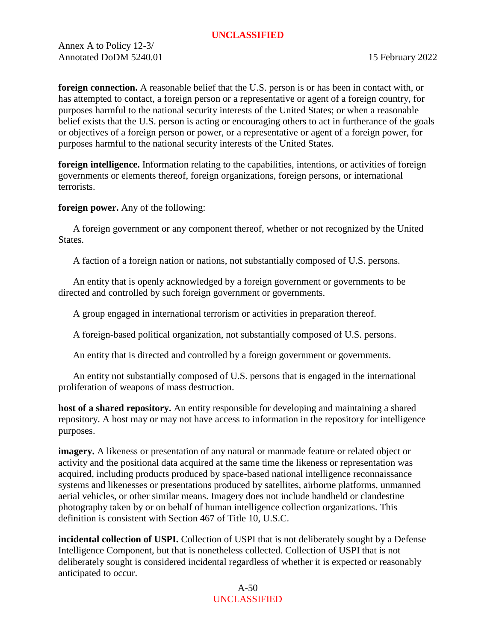Annex A to Policy 12-3/ Annotated DoDM 5240.01 15 February 2022

<span id="page-49-3"></span>**foreign connection.** A reasonable belief that the U.S. person is or has been in contact with, or has attempted to contact, a foreign person or a representative or agent of a foreign country, for purposes harmful to the national security interests of the United States; or when a reasonable belief exists that the U.S. person is acting or encouraging others to act in furtherance of the goals or objectives of a foreign person or power, or a representative or agent of a foreign power, for purposes harmful to the national security interests of the United States.

<span id="page-49-1"></span>**foreign intelligence.** Information relating to the capabilities, intentions, or activities of foreign governments or elements thereof, foreign organizations, foreign persons, or international terrorists.

<span id="page-49-2"></span>**foreign power.** Any of the following:

A foreign government or any component thereof, whether or not recognized by the United States.

A faction of a foreign nation or nations, not substantially composed of U.S. persons.

An entity that is openly acknowledged by a foreign government or governments to be directed and controlled by such foreign government or governments.

A group engaged in international terrorism or activities in preparation thereof.

A foreign-based political organization, not substantially composed of U.S. persons.

An entity that is directed and controlled by a foreign government or governments.

An entity not substantially composed of U.S. persons that is engaged in the international proliferation of weapons of mass destruction.

<span id="page-49-0"></span>**host of a shared repository.** An entity responsible for developing and maintaining a shared repository. A host may or may not have access to information in the repository for intelligence purposes.

**imagery.** A likeness or presentation of any natural or manmade feature or related object or activity and the positional data acquired at the same time the likeness or representation was acquired, including products produced by space-based national intelligence reconnaissance systems and likenesses or presentations produced by satellites, airborne platforms, unmanned aerial vehicles, or other similar means. Imagery does not include handheld or clandestine photography taken by or on behalf of human intelligence collection organizations. This definition is consistent with Section 467 of Title 10, U.S.C.

<span id="page-49-4"></span>**incidental collection of USPI.** Collection of USPI that is not deliberately sought by a Defense Intelligence Component, but that is nonetheless collected. Collection of USPI that is not deliberately sought is considered incidental regardless of whether it is expected or reasonably anticipated to occur.

> A-50 UNCLASSIFIED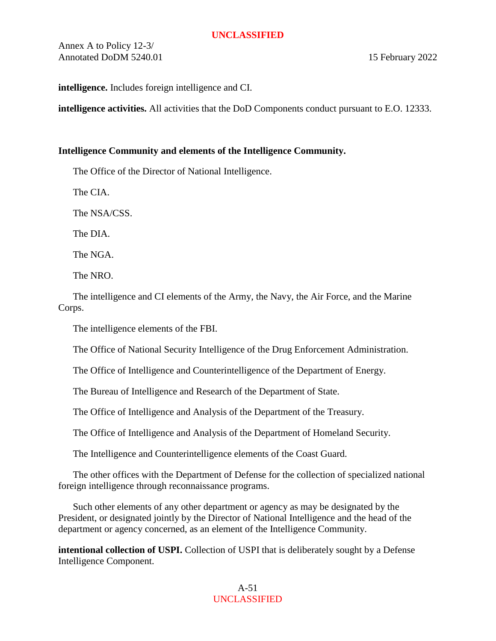Annex A to Policy 12-3/ Annotated DoDM 5240.01 15 February 2022

**intelligence.** Includes foreign intelligence and CI.

**intelligence activities.** All activities that the DoD Components conduct pursuant to E.O. 12333.

# **Intelligence Community and elements of the Intelligence Community.**

The Office of the Director of National Intelligence.

The CIA.

The NSA/CSS.

The DIA.

The NGA.

The NRO.

The intelligence and CI elements of the Army, the Navy, the Air Force, and the Marine Corps.

The intelligence elements of the FBI.

The Office of National Security Intelligence of the Drug Enforcement Administration.

The Office of Intelligence and Counterintelligence of the Department of Energy.

The Bureau of Intelligence and Research of the Department of State.

The Office of Intelligence and Analysis of the Department of the Treasury.

The Office of Intelligence and Analysis of the Department of Homeland Security.

The Intelligence and Counterintelligence elements of the Coast Guard.

The other offices with the Department of Defense for the collection of specialized national foreign intelligence through reconnaissance programs.

Such other elements of any other department or agency as may be designated by the President, or designated jointly by the Director of National Intelligence and the head of the department or agency concerned, as an element of the Intelligence Community.

<span id="page-50-0"></span>**intentional collection of USPI.** Collection of USPI that is deliberately sought by a Defense Intelligence Component.

> A-51 UNCLASSIFIED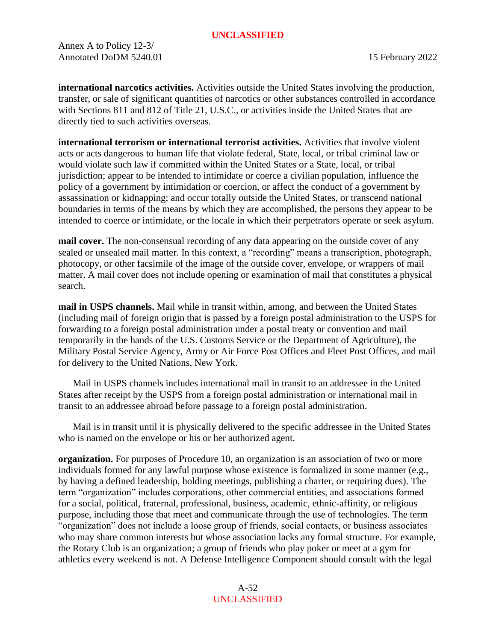Annex A to Policy 12-3/ Annotated DoDM 5240.01 15 February 2022

<span id="page-51-1"></span>**international narcotics activities.** Activities outside the United States involving the production, transfer, or sale of significant quantities of narcotics or other substances controlled in accordance with Sections 811 and 812 of Title 21, U.S.C., or activities inside the United States that are directly tied to such activities overseas.

<span id="page-51-0"></span>**international terrorism or international terrorist activities.** Activities that involve violent acts or acts dangerous to human life that violate federal, State, local, or tribal criminal law or would violate such law if committed within the United States or a State, local, or tribal jurisdiction; appear to be intended to intimidate or coerce a civilian population, influence the policy of a government by intimidation or coercion, or affect the conduct of a government by assassination or kidnapping; and occur totally outside the United States, or transcend national boundaries in terms of the means by which they are accomplished, the persons they appear to be intended to coerce or intimidate, or the locale in which their perpetrators operate or seek asylum.

**mail cover.** The non-consensual recording of any data appearing on the outside cover of any sealed or unsealed mail matter. In this context, a "recording" means a transcription, photograph, photocopy, or other facsimile of the image of the outside cover, envelope, or wrappers of mail matter. A mail cover does not include opening or examination of mail that constitutes a physical search.

**mail in USPS channels.** Mail while in transit within, among, and between the United States (including mail of foreign origin that is passed by a foreign postal administration to the USPS for forwarding to a foreign postal administration under a postal treaty or convention and mail temporarily in the hands of the U.S. Customs Service or the Department of Agriculture), the Military Postal Service Agency, Army or Air Force Post Offices and Fleet Post Offices, and mail for delivery to the United Nations, New York.

Mail in USPS channels includes international mail in transit to an addressee in the United States after receipt by the USPS from a foreign postal administration or international mail in transit to an addressee abroad before passage to a foreign postal administration.

Mail is in transit until it is physically delivered to the specific addressee in the United States who is named on the envelope or his or her authorized agent.

**organization.** For purposes of Procedure 10, an organization is an association of two or more individuals formed for any lawful purpose whose existence is formalized in some manner (e.g., by having a defined leadership, holding meetings, publishing a charter, or requiring dues). The term "organization" includes corporations, other commercial entities, and associations formed for a social, political, fraternal, professional, business, academic, ethnic-affinity, or religious purpose, including those that meet and communicate through the use of technologies. The term "organization" does not include a loose group of friends, social contacts, or business associates who may share common interests but whose association lacks any formal structure. For example, the Rotary Club is an organization; a group of friends who play poker or meet at a gym for athletics every weekend is not. A Defense Intelligence Component should consult with the legal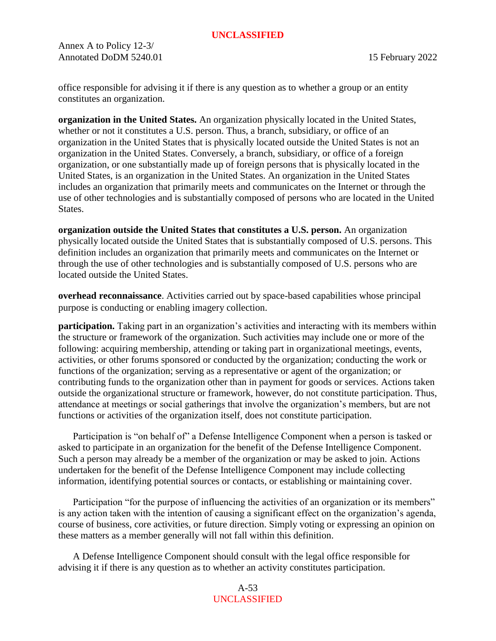Annex A to Policy 12-3/ Annotated DoDM 5240.01 15 February 2022

office responsible for advising it if there is any question as to whether a group or an entity constitutes an organization.

<span id="page-52-2"></span>**organization in the United States.** An organization physically located in the United States, whether or not it constitutes a U.S. person. Thus, a branch, subsidiary, or office of an organization in the United States that is physically located outside the United States is not an organization in the United States. Conversely, a branch, subsidiary, or office of a foreign organization, or one substantially made up of foreign persons that is physically located in the United States, is an organization in the United States. An organization in the United States includes an organization that primarily meets and communicates on the Internet or through the use of other technologies and is substantially composed of persons who are located in the United States.

<span id="page-52-3"></span>**organization outside the United States that constitutes a U.S. person.** An organization physically located outside the United States that is substantially composed of U.S. persons. This definition includes an organization that primarily meets and communicates on the Internet or through the use of other technologies and is substantially composed of U.S. persons who are located outside the United States.

<span id="page-52-0"></span>**overhead reconnaissance**. Activities carried out by space-based capabilities whose principal purpose is conducting or enabling imagery collection.

<span id="page-52-1"></span>**participation.** Taking part in an organization's activities and interacting with its members within the structure or framework of the organization. Such activities may include one or more of the following: acquiring membership, attending or taking part in organizational meetings, events, activities, or other forums sponsored or conducted by the organization; conducting the work or functions of the organization; serving as a representative or agent of the organization; or contributing funds to the organization other than in payment for goods or services. Actions taken outside the organizational structure or framework, however, do not constitute participation. Thus, attendance at meetings or social gatherings that involve the organization's members, but are not functions or activities of the organization itself, does not constitute participation.

Participation is "on behalf of" a Defense Intelligence Component when a person is tasked or asked to participate in an organization for the benefit of the Defense Intelligence Component. Such a person may already be a member of the organization or may be asked to join. Actions undertaken for the benefit of the Defense Intelligence Component may include collecting information, identifying potential sources or contacts, or establishing or maintaining cover.

Participation "for the purpose of influencing the activities of an organization or its members" is any action taken with the intention of causing a significant effect on the organization's agenda, course of business, core activities, or future direction. Simply voting or expressing an opinion on these matters as a member generally will not fall within this definition.

A Defense Intelligence Component should consult with the legal office responsible for advising it if there is any question as to whether an activity constitutes participation.

> A-53 UNCLASSIFIED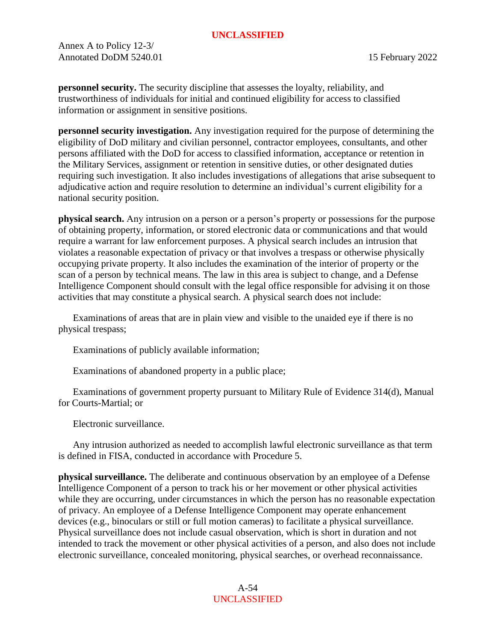Annex A to Policy 12-3/ Annotated DoDM 5240.01 15 February 2022

<span id="page-53-0"></span>**personnel security.** The security discipline that assesses the loyalty, reliability, and trustworthiness of individuals for initial and continued eligibility for access to classified information or assignment in sensitive positions.

<span id="page-53-1"></span>**personnel security investigation.** Any investigation required for the purpose of determining the eligibility of DoD military and civilian personnel, contractor employees, consultants, and other persons affiliated with the DoD for access to classified information, acceptance or retention in the Military Services, assignment or retention in sensitive duties, or other designated duties requiring such investigation. It also includes investigations of allegations that arise subsequent to adjudicative action and require resolution to determine an individual's current eligibility for a national security position.

**physical search.** Any intrusion on a person or a person's property or possessions for the purpose of obtaining property, information, or stored electronic data or communications and that would require a warrant for law enforcement purposes. A physical search includes an intrusion that violates a reasonable expectation of privacy or that involves a trespass or otherwise physically occupying private property. It also includes the examination of the interior of property or the scan of a person by technical means. The law in this area is subject to change, and a Defense Intelligence Component should consult with the legal office responsible for advising it on those activities that may constitute a physical search. A physical search does not include:

Examinations of areas that are in plain view and visible to the unaided eye if there is no physical trespass;

Examinations of publicly available information;

Examinations of abandoned property in a public place;

Examinations of government property pursuant to Military Rule of Evidence 314(d), Manual for Courts-Martial; or

Electronic surveillance.

Any intrusion authorized as needed to accomplish lawful electronic surveillance as that term is defined in FISA, conducted in accordance with Procedure 5.

**physical surveillance.** The deliberate and continuous observation by an employee of a Defense Intelligence Component of a person to track his or her movement or other physical activities while they are occurring, under circumstances in which the person has no reasonable expectation of privacy. An employee of a Defense Intelligence Component may operate enhancement devices (e.g., binoculars or still or full motion cameras) to facilitate a physical surveillance. Physical surveillance does not include casual observation, which is short in duration and not intended to track the movement or other physical activities of a person, and also does not include electronic surveillance, concealed monitoring, physical searches, or overhead reconnaissance.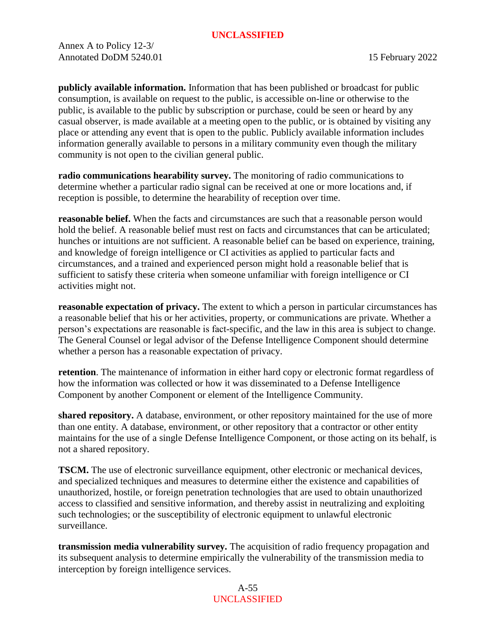Annex A to Policy 12-3/ Annotated DoDM 5240.01 15 February 2022

<span id="page-54-3"></span>**publicly available information.** Information that has been published or broadcast for public consumption, is available on request to the public, is accessible on-line or otherwise to the public, is available to the public by subscription or purchase, could be seen or heard by any casual observer, is made available at a meeting open to the public, or is obtained by visiting any place or attending any event that is open to the public. Publicly available information includes information generally available to persons in a military community even though the military community is not open to the civilian general public.

<span id="page-54-7"></span>**radio communications hearability survey.** The monitoring of radio communications to determine whether a particular radio signal can be received at one or more locations and, if reception is possible, to determine the hearability of reception over time.

<span id="page-54-2"></span>**reasonable belief.** When the facts and circumstances are such that a reasonable person would hold the belief. A reasonable belief must rest on facts and circumstances that can be articulated; hunches or intuitions are not sufficient. A reasonable belief can be based on experience, training, and knowledge of foreign intelligence or CI activities as applied to particular facts and circumstances, and a trained and experienced person might hold a reasonable belief that is sufficient to satisfy these criteria when someone unfamiliar with foreign intelligence or CI activities might not.

<span id="page-54-4"></span>**reasonable expectation of privacy.** The extent to which a person in particular circumstances has a reasonable belief that his or her activities, property, or communications are private. Whether a person's expectations are reasonable is fact-specific, and the law in this area is subject to change. The General Counsel or legal advisor of the Defense Intelligence Component should determine whether a person has a reasonable expectation of privacy.

<span id="page-54-1"></span>**retention**. The maintenance of information in either hard copy or electronic format regardless of how the information was collected or how it was disseminated to a Defense Intelligence Component by another Component or element of the Intelligence Community.

<span id="page-54-0"></span>**shared repository.** A database, environment, or other repository maintained for the use of more than one entity. A database, environment, or other repository that a contractor or other entity maintains for the use of a single Defense Intelligence Component, or those acting on its behalf, is not a shared repository.

<span id="page-54-5"></span>**TSCM.** The use of electronic surveillance equipment, other electronic or mechanical devices, and specialized techniques and measures to determine either the existence and capabilities of unauthorized, hostile, or foreign penetration technologies that are used to obtain unauthorized access to classified and sensitive information, and thereby assist in neutralizing and exploiting such technologies; or the susceptibility of electronic equipment to unlawful electronic surveillance.

<span id="page-54-6"></span>**transmission media vulnerability survey.** The acquisition of radio frequency propagation and its subsequent analysis to determine empirically the vulnerability of the transmission media to interception by foreign intelligence services.

> A-55 UNCLASSIFIED